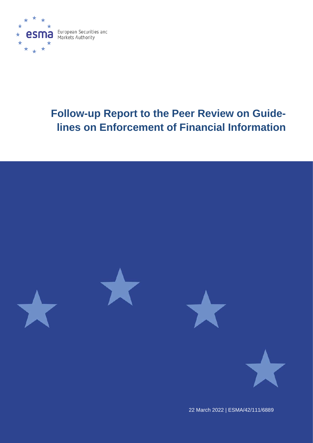

# **Follow-up Report to the Peer Review on Guidelines on Enforcement of Financial Information**



22 March 2022 | ESMA/42/111/6889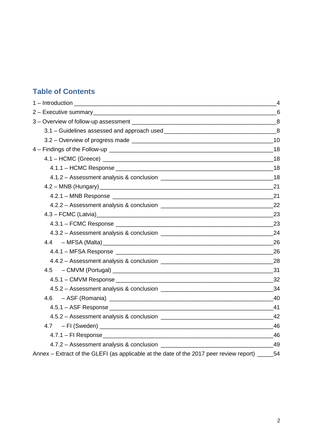# **Table of Contents**

| 4.3 - FCMC (Latvia) 23                                                                             |  |
|----------------------------------------------------------------------------------------------------|--|
|                                                                                                    |  |
|                                                                                                    |  |
|                                                                                                    |  |
|                                                                                                    |  |
|                                                                                                    |  |
|                                                                                                    |  |
|                                                                                                    |  |
|                                                                                                    |  |
|                                                                                                    |  |
|                                                                                                    |  |
|                                                                                                    |  |
|                                                                                                    |  |
|                                                                                                    |  |
|                                                                                                    |  |
| Annex - Extract of the GLEFI (as applicable at the date of the 2017 peer review report) _______ 54 |  |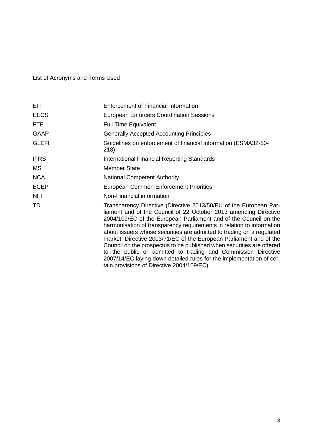# List of Acronyms and Terms Used

| EFI.         | Enforcement of Financial Information                                                                                                                                                                                                                                                                                                                                                                                                                                                                                                                                                                                                                                                             |  |  |
|--------------|--------------------------------------------------------------------------------------------------------------------------------------------------------------------------------------------------------------------------------------------------------------------------------------------------------------------------------------------------------------------------------------------------------------------------------------------------------------------------------------------------------------------------------------------------------------------------------------------------------------------------------------------------------------------------------------------------|--|--|
| <b>EECS</b>  | <b>European Enforcers Coordination Sessions</b>                                                                                                                                                                                                                                                                                                                                                                                                                                                                                                                                                                                                                                                  |  |  |
| <b>FTE</b>   | <b>Full Time Equivalent</b>                                                                                                                                                                                                                                                                                                                                                                                                                                                                                                                                                                                                                                                                      |  |  |
| <b>GAAP</b>  | <b>Generally Accepted Accounting Principles</b>                                                                                                                                                                                                                                                                                                                                                                                                                                                                                                                                                                                                                                                  |  |  |
| <b>GLEFI</b> | Guidelines on enforcement of financial information (ESMA32-50-<br>218)                                                                                                                                                                                                                                                                                                                                                                                                                                                                                                                                                                                                                           |  |  |
| <b>IFRS</b>  | International Financial Reporting Standards                                                                                                                                                                                                                                                                                                                                                                                                                                                                                                                                                                                                                                                      |  |  |
| MS.          | <b>Member State</b>                                                                                                                                                                                                                                                                                                                                                                                                                                                                                                                                                                                                                                                                              |  |  |
| <b>NCA</b>   | <b>National Competent Authority</b>                                                                                                                                                                                                                                                                                                                                                                                                                                                                                                                                                                                                                                                              |  |  |
| <b>ECEP</b>  | <b>European Common Enforcement Priorities</b>                                                                                                                                                                                                                                                                                                                                                                                                                                                                                                                                                                                                                                                    |  |  |
| <b>NFI</b>   | Non-Financial information                                                                                                                                                                                                                                                                                                                                                                                                                                                                                                                                                                                                                                                                        |  |  |
| TD           | Transparency Directive (Directive 2013/50/EU of the European Par-<br>liament and of the Council of 22 October 2013 amending Directive<br>2004/109/EC of the European Parliament and of the Council on the<br>harmonisation of transparency requirements in relation to information<br>about issuers whose securities are admitted to trading on a regulated<br>market, Directive 2003/71/EC of the European Parliament and of the<br>Council on the prospectus to be published when securities are offered<br>to the public or admitted to trading and Commission Directive<br>2007/14/EC laying down detailed rules for the implementation of cer-<br>tain provisions of Directive 2004/109/EC) |  |  |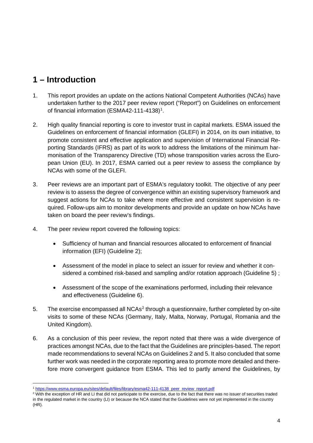# <span id="page-3-0"></span>**1 – Introduction**

- 1. This report provides an update on the actions National Competent Authorities (NCAs) have undertaken further to the 2017 peer review report ("Report") on Guidelines on enforcement of financial information (ESMA42-[1](#page-3-1)11-4138)<sup>1</sup>.
- 2. High quality financial reporting is core to investor trust in capital markets. ESMA issued the Guidelines on enforcement of financial information (GLEFI) in 2014, on its own initiative, to promote consistent and effective application and supervision of International Financial Reporting Standards (IFRS) as part of its work to address the limitations of the minimum harmonisation of the Transparency Directive (TD) whose transposition varies across the European Union (EU). In 2017, ESMA carried out a peer review to assess the compliance by NCAs with some of the GLEFI.
- 3. Peer reviews are an important part of ESMA's regulatory toolkit. The objective of any peer review is to assess the degree of convergence within an existing supervisory framework and suggest actions for NCAs to take where more effective and consistent supervision is required. Follow-ups aim to monitor developments and provide an update on how NCAs have taken on board the peer review's findings.
- 4. The peer review report covered the following topics:
	- Sufficiency of human and financial resources allocated to enforcement of financial information (EFI) (Guideline 2);
	- Assessment of the model in place to select an issuer for review and whether it considered a combined risk-based and sampling and/or rotation approach (Guideline 5) ;
	- Assessment of the scope of the examinations performed, including their relevance and effectiveness (Guideline 6).
- 5. The exercise encompassed all NCAs<sup>[2](#page-3-2)</sup> through a questionnaire, further completed by on-site visits to some of these NCAs (Germany, Italy, Malta, Norway, Portugal, Romania and the United Kingdom).
- 6. As a conclusion of this peer review, the report noted that there was a wide divergence of practices amongst NCAs, due to the fact that the Guidelines are principles-based. The report made recommendations to several NCAs on Guidelines 2 and 5. It also concluded that some further work was needed in the corporate reporting area to promote more detailed and therefore more convergent guidance from ESMA. This led to partly amend the Guidelines, by

<span id="page-3-1"></span><sup>1</sup> [https://www.esma.europa.eu/sites/default/files/library/esma42-111-4138\\_peer\\_review\\_report.pdf](https://www.esma.europa.eu/sites/default/files/library/esma42-111-4138_peer_review_report.pdf)

<span id="page-3-2"></span><sup>&</sup>lt;sup>2</sup> With the exception of HR and LI that did not participate to the exercise, due to the fact that there was no issuer of securities traded in the regulated market in the country (LI) or because the NCA stated that the Guidelines were not yet implemented in the country (HR).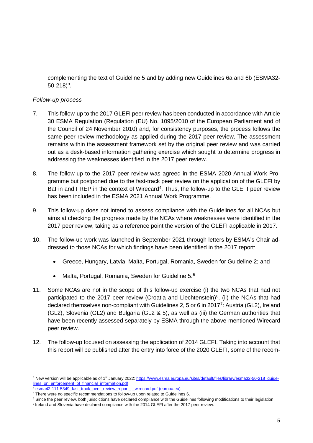complementing the text of Guideline 5 and by adding new Guidelines 6a and 6b (ESMA32-  $50 - 218$ <sup>[3](#page-4-0)</sup>.

# *Follow-up process*

- 7. This follow-up to the 2017 GLEFI peer review has been conducted in accordance with Article 30 ESMA Regulation (Regulation (EU) No. 1095/2010 of the European Parliament and of the Council of 24 November 2010) and, for consistency purposes, the process follows the same peer review methodology as applied during the 2017 peer review. The assessment remains within the assessment framework set by the original peer review and was carried out as a desk-based information gathering exercise which sought to determine progress in addressing the weaknesses identified in the 2017 peer review.
- 8. The follow-up to the 2017 peer review was agreed in the ESMA 2020 Annual Work Programme but postponed due to the fast-track peer review on the application of the GLEFI by BaFin and FREP in the context of Wirecard<sup>[4](#page-4-1)</sup>. Thus, the follow-up to the GLEFI peer review has been included in the ESMA 2021 Annual Work Programme.
- 9. This follow-up does not intend to assess compliance with the Guidelines for all NCAs but aims at checking the progress made by the NCAs where weaknesses were identified in the 2017 peer review, taking as a reference point the version of the GLEFI applicable in 2017.
- 10. The follow-up work was launched in September 2021 through letters by ESMA's Chair addressed to those NCAs for which findings have been identified in the 2017 report:
	- Greece, Hungary, Latvia, Malta, Portugal, Romania, Sweden for Guideline 2; and
	- Malta, Portugal, Romania, Sweden for Guideline [5](#page-4-2).<sup>5</sup>
- 11. Some NCAs are not in the scope of this follow-up exercise (i) the two NCAs that had not participated to the 2017 peer review (Croatia and Liechtenstein)<sup>6</sup>, (ii) the NCAs that had declared themselves non-compliant with Guidelines 2, 5 or 6 in 201[7](#page-4-4)<sup>7</sup>: Austria (GL2), Ireland (GL2), Slovenia (GL2) and Bulgaria (GL2 & 5), as well as (iii) the German authorities that have been recently assessed separately by ESMA through the above-mentioned Wirecard peer review.
- 12. The follow-up focused on assessing the application of 2014 GLEFI. Taking into account that this report will be published after the entry into force of the 2020 GLEFI, some of the recom-

<span id="page-4-0"></span><sup>&</sup>lt;sup>3</sup> New version will be applicable as of 1<sup>st</sup> January 2022: https://www.esma.europa.eu/sites/default/files/library/esma32-50-218\_quide[lines\\_on\\_enforcement\\_of\\_financial\\_information.pdf](https://www.esma.europa.eu/sites/default/files/library/esma32-50-218_guidelines_on_enforcement_of_financial_information.pdf)

<sup>&</sup>lt;sup>4</sup> [esma42-111-5349\\_fast\\_track\\_peer\\_review\\_report\\_-\\_wirecard.pdf \(europa.eu\)](https://www.esma.europa.eu/sites/default/files/library/esma42-111-5349_fast_track_peer_review_report_-_wirecard.pdf)<br><sup>5</sup> There were no specific recommendations to follow-up upon related to Guidelines 6.

<span id="page-4-4"></span><span id="page-4-3"></span><span id="page-4-2"></span><span id="page-4-1"></span>

 $6$  Since the peer review, both jurisdictions have declared compliance with the Guidelines following modifications to their legislation.

<sup>7</sup> Ireland and Slovenia have declared compliance with the 2014 GLEFI after the 2017 peer review.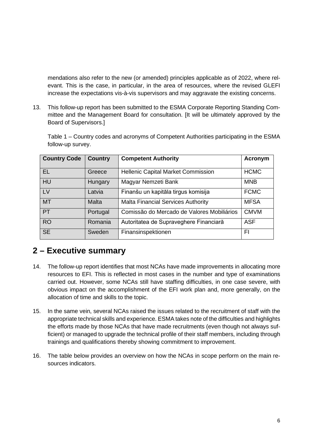mendations also refer to the new (or amended) principles applicable as of 2022, where relevant. This is the case, in particular, in the area of resources, where the revised GLEFI increase the expectations vis-à-vis supervisors and may aggravate the existing concerns.

13. This follow-up report has been submitted to the ESMA Corporate Reporting Standing Committee and the Management Board for consultation. [It will be ultimately approved by the Board of Supervisors.]

Table 1 – Country codes and acronyms of Competent Authorities participating in the ESMA follow-up survey.

| <b>Country Code</b> | <b>Country</b> | <b>Competent Authority</b>                 | Acronym     |
|---------------------|----------------|--------------------------------------------|-------------|
| <b>EL</b>           | Greece         | <b>Hellenic Capital Market Commission</b>  | <b>HCMC</b> |
| <b>HU</b>           | Hungary        | Magyar Nemzeti Bank                        | <b>MNB</b>  |
| <b>LV</b>           | Latvia         | Finanšu un kapitāla tirgus komisija        | <b>FCMC</b> |
| <b>MT</b>           | <b>Malta</b>   | <b>Malta Financial Services Authority</b>  | <b>MFSA</b> |
| <b>PT</b>           | Portugal       | Comissão do Mercado de Valores Mobiliários | <b>CMVM</b> |
| <b>RO</b>           | Romania        | Autoritatea de Supraveghere Financiară     | <b>ASF</b>  |
| <b>SE</b>           | Sweden         | Finansinspektionen                         | FI          |

# <span id="page-5-0"></span>**2 – Executive summary**

- 14. The follow-up report identifies that most NCAs have made improvements in allocating more resources to EFI. This is reflected in most cases in the number and type of examinations carried out. However, some NCAs still have staffing difficulties, in one case severe, with obvious impact on the accomplishment of the EFI work plan and, more generally, on the allocation of time and skills to the topic.
- 15. In the same vein, several NCAs raised the issues related to the recruitment of staff with the appropriate technical skills and experience. ESMA takes note of the difficulties and highlights the efforts made by those NCAs that have made recruitments (even though not always sufficient) or managed to upgrade the technical profile of their staff members, including through trainings and qualifications thereby showing commitment to improvement.
- 16. The table below provides an overview on how the NCAs in scope perform on the main resources indicators.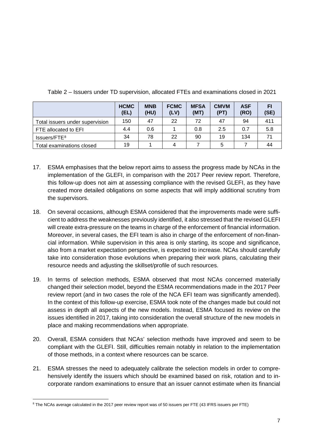|                                 | <b>HCMC</b><br>(EL) | <b>MNB</b><br>(HU) | <b>FCMC</b><br>(LV) | <b>MFSA</b><br>(MT) | <b>CMVM</b><br>(PT) | <b>ASF</b><br>(RO) | FI<br>(SE) |
|---------------------------------|---------------------|--------------------|---------------------|---------------------|---------------------|--------------------|------------|
| Total issuers under supervision | 150                 | 47                 | 22                  | 72                  | 47                  | 94                 | 411        |
| FTE allocated to EFI            | 4.4                 | 0.6                |                     | 0.8                 | 2.5                 | 0.7                | 5.8        |
| Issuers/FTE <sup>8</sup>        | 34                  | 78                 | 22                  | 90                  | 19                  | 134                | 71         |
| Total examinations closed       | 19                  |                    | 4                   |                     | 5                   |                    | 44         |

Table 2 – Issuers under TD supervision, allocated FTEs and examinations closed in 2021

- 17. ESMA emphasises that the below report aims to assess the progress made by NCAs in the implementation of the GLEFI, in comparison with the 2017 Peer review report. Therefore, this follow-up does not aim at assessing compliance with the revised GLEFI, as they have created more detailed obligations on some aspects that will imply additional scrutiny from the supervisors.
- 18. On several occasions, although ESMA considered that the improvements made were sufficient to address the weaknesses previously identified, it also stressed that the revised GLEFI will create extra-pressure on the teams in charge of the enforcement of financial information. Moreover, in several cases, the EFI team is also in charge of the enforcement of non-financial information. While supervision in this area is only starting, its scope and significance, also from a market expectation perspective, is expected to increase. NCAs should carefully take into consideration those evolutions when preparing their work plans, calculating their resource needs and adjusting the skillset/profile of such resources.
- 19. In terms of selection methods, ESMA observed that most NCAs concerned materially changed their selection model, beyond the ESMA recommendations made in the 2017 Peer review report (and in two cases the role of the NCA EFI team was significantly amended). In the context of this follow-up exercise, ESMA took note of the changes made but could not assess in depth all aspects of the new models. Instead, ESMA focused its review on the issues identified in 2017, taking into consideration the overall structure of the new models in place and making recommendations when appropriate.
- 20. Overall, ESMA considers that NCAs' selection methods have improved and seem to be compliant with the GLEFI. Still, difficulties remain notably in relation to the implementation of those methods, in a context where resources can be scarce.
- 21. ESMA stresses the need to adequately calibrate the selection models in order to comprehensively identify the issuers which should be examined based on risk, rotation and to incorporate random examinations to ensure that an issuer cannot estimate when its financial

<span id="page-6-0"></span><sup>&</sup>lt;sup>8</sup> The NCAs average calculated in the 2017 peer review report was of 50 issuers per FTE (43 IFRS issuers per FTE)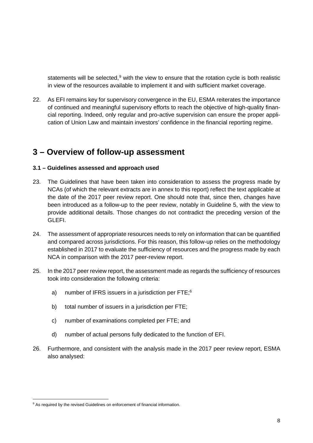statements will be selected,<sup>[9](#page-7-2)</sup> with the view to ensure that the rotation cycle is both realistic in view of the resources available to implement it and with sufficient market coverage.

22. As EFI remains key for supervisory convergence in the EU, ESMA reiterates the importance of continued and meaningful supervisory efforts to reach the objective of high-quality financial reporting. Indeed, only regular and pro-active supervision can ensure the proper application of Union Law and maintain investors' confidence in the financial reporting regime.

# <span id="page-7-0"></span>**3 – Overview of follow-up assessment**

#### <span id="page-7-1"></span>**3.1 – Guidelines assessed and approach used**

- 23. The Guidelines that have been taken into consideration to assess the progress made by NCAs (of which the relevant extracts are in annex to this report) reflect the text applicable at the date of the 2017 peer review report. One should note that, since then, changes have been introduced as a follow-up to the peer review, notably in Guideline 5, with the view to provide additional details. Those changes do not contradict the preceding version of the GLEFI.
- 24. The assessment of appropriate resources needs to rely on information that can be quantified and compared across jurisdictions. For this reason, this follow-up relies on the methodology established in 2017 to evaluate the sufficiency of resources and the progress made by each NCA in comparison with the 2017 peer-review report.
- 25. In the 2017 peer review report, the assessment made as regards the sufficiency of resources took into consideration the following criteria:
	- a) number of IFRS issuers in a jurisdiction per FTE;<sup>6</sup>
	- b) total number of issuers in a jurisdiction per FTE;
	- c) number of examinations completed per FTE; and
	- d) number of actual persons fully dedicated to the function of EFI.
- 26. Furthermore, and consistent with the analysis made in the 2017 peer review report, ESMA also analysed:

<span id="page-7-2"></span><sup>&</sup>lt;sup>9</sup> As required by the revised Guidelines on enforcement of financial information.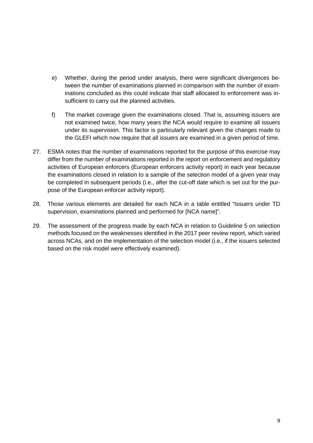- e) Whether, during the period under analysis, there were significant divergences between the number of examinations planned in comparison with the number of examinations concluded as this could indicate that staff allocated to enforcement was insufficient to carry out the planned activities.
- f) The market coverage given the examinations closed. That is, assuming issuers are not examined twice, how many years the NCA would require to examine all issuers under its supervision. This factor is particularly relevant given the changes made to the GLEFI which now require that all issuers are examined in a given period of time.
- 27. ESMA notes that the number of examinations reported for the purpose of this exercise may differ from the number of examinations reported in the report on enforcement and regulatory activities of European enforcers (European enforcers activity report) in each year because the examinations closed in relation to a sample of the selection model of a given year may be completed in subsequent periods (i.e., after the cut-off date which is set out for the purpose of the European enforcer activity report).
- 28. Those various elements are detailed for each NCA in a table entitled "Issuers under TD supervision, examinations planned and performed for [NCA name]".
- 29. The assessment of the progress made by each NCA in relation to Guideline 5 on selection methods focused on the weaknesses identified in the 2017 peer review report, which varied across NCAs, and on the implementation of the selection model (i.e., if the issuers selected based on the risk model were effectively examined).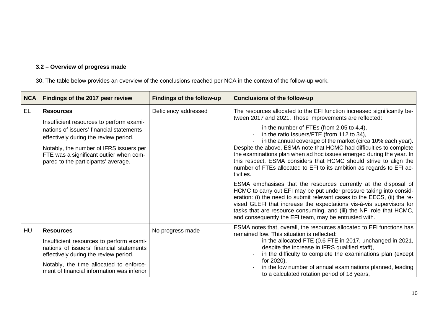# **3.2 – Overview of progress made**

30. The table below provides an overview of the conclusions reached per NCA in the context of the follow-up work.

<span id="page-9-0"></span>

| <b>NCA</b> | Findings of the 2017 peer review                                                                                                                                                                                                                                               | <b>Findings of the follow-up</b> | <b>Conclusions of the follow-up</b>                                                                                                                                                                                                                                                                                                                                                                                                                                                                                                                                                                                                                                                                                                                                                                                                                                                                                                                                                                                                    |
|------------|--------------------------------------------------------------------------------------------------------------------------------------------------------------------------------------------------------------------------------------------------------------------------------|----------------------------------|----------------------------------------------------------------------------------------------------------------------------------------------------------------------------------------------------------------------------------------------------------------------------------------------------------------------------------------------------------------------------------------------------------------------------------------------------------------------------------------------------------------------------------------------------------------------------------------------------------------------------------------------------------------------------------------------------------------------------------------------------------------------------------------------------------------------------------------------------------------------------------------------------------------------------------------------------------------------------------------------------------------------------------------|
| EL.        | <b>Resources</b><br>Insufficient resources to perform exami-<br>nations of issuers' financial statements<br>effectively during the review period.<br>Notably, the number of IFRS issuers per<br>FTE was a significant outlier when com-<br>pared to the participants' average. | Deficiency addressed             | The resources allocated to the EFI function increased significantly be-<br>tween 2017 and 2021. Those improvements are reflected:<br>- in the number of FTEs (from 2.05 to 4.4),<br>in the ratio Issuers/FTE (from 112 to 34),<br>in the annual coverage of the market (circa 10% each year).<br>Despite the above, ESMA note that HCMC had difficulties to complete<br>the examinations plan when ad hoc issues emerged during the year. In<br>this respect, ESMA considers that HCMC should strive to align the<br>number of FTEs allocated to EFI to its ambition as regards to EFI ac-<br>tivities.<br>ESMA emphasises that the resources currently at the disposal of<br>HCMC to carry out EFI may be put under pressure taking into consid-<br>eration: (i) the need to submit relevant cases to the EECS, (ii) the re-<br>vised GLEFI that increase the expectations vis-à-vis supervisors for<br>tasks that are resource consuming, and (iii) the NFI role that HCMC,<br>and consequently the EFI team, may be entrusted with. |
| HU         | <b>Resources</b><br>Insufficient resources to perform exami-<br>nations of issuers' financial statements<br>effectively during the review period.<br>Notably, the time allocated to enforce-<br>ment of financial information was inferior                                     | No progress made                 | ESMA notes that, overall, the resources allocated to EFI functions has<br>remained low. This situation is reflected:<br>in the allocated FTE (0.6 FTE in 2017, unchanged in 2021,<br>despite the increase in IFRS qualified staff),<br>in the difficulty to complete the examinations plan (except<br>for 2020),<br>in the low number of annual examinations planned, leading<br>to a calculated rotation period of 18 years,                                                                                                                                                                                                                                                                                                                                                                                                                                                                                                                                                                                                          |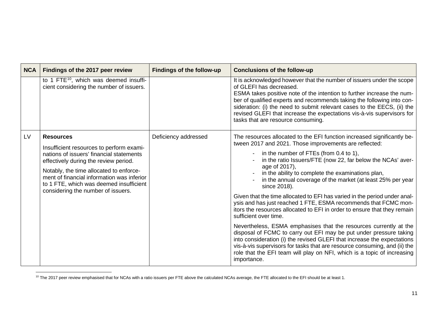<span id="page-10-0"></span>

| <b>NCA</b> | Findings of the 2017 peer review                                                                                                                                                                                                                                                                                            | <b>Findings of the follow-up</b> | <b>Conclusions of the follow-up</b>                                                                                                                                                                                                                                                                                                                                                                                                                                                                                                                                                                                                                                                                                                                                                                                                                                                                                                                                                                                                                 |
|------------|-----------------------------------------------------------------------------------------------------------------------------------------------------------------------------------------------------------------------------------------------------------------------------------------------------------------------------|----------------------------------|-----------------------------------------------------------------------------------------------------------------------------------------------------------------------------------------------------------------------------------------------------------------------------------------------------------------------------------------------------------------------------------------------------------------------------------------------------------------------------------------------------------------------------------------------------------------------------------------------------------------------------------------------------------------------------------------------------------------------------------------------------------------------------------------------------------------------------------------------------------------------------------------------------------------------------------------------------------------------------------------------------------------------------------------------------|
|            | to 1 FTE <sup>10</sup> , which was deemed insuffi-<br>cient considering the number of issuers.                                                                                                                                                                                                                              |                                  | It is acknowledged however that the number of issuers under the scope<br>of GLEFI has decreased.<br>ESMA takes positive note of the intention to further increase the num-<br>ber of qualified experts and recommends taking the following into con-<br>sideration: (i) the need to submit relevant cases to the EECS, (ii) the<br>revised GLEFI that increase the expectations vis-à-vis supervisors for<br>tasks that are resource consuming.                                                                                                                                                                                                                                                                                                                                                                                                                                                                                                                                                                                                     |
| LV         | <b>Resources</b><br>Insufficient resources to perform exami-<br>nations of issuers' financial statements<br>effectively during the review period.<br>Notably, the time allocated to enforce-<br>ment of financial information was inferior<br>to 1 FTE, which was deemed insufficient<br>considering the number of issuers. | Deficiency addressed             | The resources allocated to the EFI function increased significantly be-<br>tween 2017 and 2021. Those improvements are reflected:<br>- in the number of FTEs (from 0.4 to 1),<br>in the ratio Issuers/FTE (now 22, far below the NCAs' aver-<br>age of 2017),<br>in the ability to complete the examinations plan,<br>in the annual coverage of the market (at least 25% per year<br>since 2018).<br>Given that the time allocated to EFI has varied in the period under anal-<br>ysis and has just reached 1 FTE, ESMA recommends that FCMC mon-<br>itors the resources allocated to EFI in order to ensure that they remain<br>sufficient over time.<br>Nevertheless, ESMA emphasises that the resources currently at the<br>disposal of FCMC to carry out EFI may be put under pressure taking<br>into consideration (i) the revised GLEFI that increase the expectations<br>vis-à-vis supervisors for tasks that are resource consuming, and (ii) the<br>role that the EFI team will play on NFI, which is a topic of increasing<br>importance. |

<sup>&</sup>lt;sup>10</sup> The 2017 peer review emphasised that for NCAs with a ratio issuers per FTE above the calculated NCAs average, the FTE allocated to the EFI should be at least 1.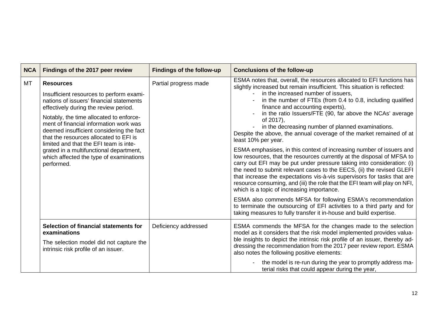| <b>NCA</b> | Findings of the 2017 peer review                                                                                                                                                                                                                                                                                                                                                                                                                                           | <b>Findings of the follow-up</b> | <b>Conclusions of the follow-up</b>                                                                                                                                                                                                                                                                                                                                                                                                                                                                                                                                                                                                                                                                                                                                                                                                                                                                                                                                                                                                                                                                                                                                                                                                                   |
|------------|----------------------------------------------------------------------------------------------------------------------------------------------------------------------------------------------------------------------------------------------------------------------------------------------------------------------------------------------------------------------------------------------------------------------------------------------------------------------------|----------------------------------|-------------------------------------------------------------------------------------------------------------------------------------------------------------------------------------------------------------------------------------------------------------------------------------------------------------------------------------------------------------------------------------------------------------------------------------------------------------------------------------------------------------------------------------------------------------------------------------------------------------------------------------------------------------------------------------------------------------------------------------------------------------------------------------------------------------------------------------------------------------------------------------------------------------------------------------------------------------------------------------------------------------------------------------------------------------------------------------------------------------------------------------------------------------------------------------------------------------------------------------------------------|
| <b>MT</b>  | <b>Resources</b><br>Insufficient resources to perform exami-<br>nations of issuers' financial statements<br>effectively during the review period.<br>Notably, the time allocated to enforce-<br>ment of financial information work was<br>deemed insufficient considering the fact<br>that the resources allocated to EFI is<br>limited and that the EFI team is inte-<br>grated in a multifunctional department,<br>which affected the type of examinations<br>performed. | Partial progress made            | ESMA notes that, overall, the resources allocated to EFI functions has<br>slightly increased but remain insufficient. This situation is reflected:<br>in the increased number of issuers,<br>in the number of FTEs (from 0.4 to 0.8, including qualified<br>finance and accounting experts),<br>in the ratio Issuers/FTE (90, far above the NCAs' average<br>of 2017),<br>in the decreasing number of planned examinations.<br>Despite the above, the annual coverage of the market remained of at<br>least 10% per year.<br>ESMA emphasises, in this context of increasing number of issuers and<br>low resources, that the resources currently at the disposal of MFSA to<br>carry out EFI may be put under pressure taking into consideration: (i)<br>the need to submit relevant cases to the EECS, (ii) the revised GLEFI<br>that increase the expectations vis-à-vis supervisors for tasks that are<br>resource consuming, and (iii) the role that the EFI team will play on NFI,<br>which is a topic of increasing importance.<br>ESMA also commends MFSA for following ESMA's recommendation<br>to terminate the outsourcing of EFI activities to a third party and for<br>taking measures to fully transfer it in-house and build expertise. |
|            | Selection of financial statements for<br>examinations<br>The selection model did not capture the<br>intrinsic risk profile of an issuer.                                                                                                                                                                                                                                                                                                                                   | Deficiency addressed             | ESMA commends the MFSA for the changes made to the selection<br>model as it considers that the risk model implemented provides valua-<br>ble insights to depict the intrinsic risk profile of an issuer, thereby ad-<br>dressing the recommendation from the 2017 peer review report. ESMA<br>also notes the following positive elements:<br>the model is re-run during the year to promptly address ma-<br>terial risks that could appear during the year,                                                                                                                                                                                                                                                                                                                                                                                                                                                                                                                                                                                                                                                                                                                                                                                           |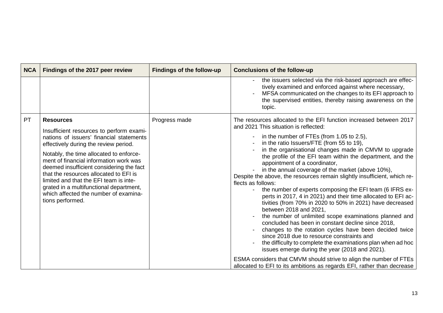| <b>NCA</b> | Findings of the 2017 peer review                                                                                                                                                                                                                                                                                                                                                                                                                                               | <b>Findings of the follow-up</b> | <b>Conclusions of the follow-up</b>                                                                                                                                                                                                                                                                                                                                                                                                                                                                                                                                                                                                                                                                                                                                                                                                                                                                                                                                                                                                                                                                                                                      |
|------------|--------------------------------------------------------------------------------------------------------------------------------------------------------------------------------------------------------------------------------------------------------------------------------------------------------------------------------------------------------------------------------------------------------------------------------------------------------------------------------|----------------------------------|----------------------------------------------------------------------------------------------------------------------------------------------------------------------------------------------------------------------------------------------------------------------------------------------------------------------------------------------------------------------------------------------------------------------------------------------------------------------------------------------------------------------------------------------------------------------------------------------------------------------------------------------------------------------------------------------------------------------------------------------------------------------------------------------------------------------------------------------------------------------------------------------------------------------------------------------------------------------------------------------------------------------------------------------------------------------------------------------------------------------------------------------------------|
|            |                                                                                                                                                                                                                                                                                                                                                                                                                                                                                |                                  | the issuers selected via the risk-based approach are effec-<br>tively examined and enforced against where necessary,<br>MFSA communicated on the changes to its EFI approach to<br>the supervised entities, thereby raising awareness on the<br>topic.                                                                                                                                                                                                                                                                                                                                                                                                                                                                                                                                                                                                                                                                                                                                                                                                                                                                                                   |
| <b>PT</b>  | <b>Resources</b><br>Insufficient resources to perform exami-<br>nations of issuers' financial statements<br>effectively during the review period.<br>Notably, the time allocated to enforce-<br>ment of financial information work was<br>deemed insufficient considering the fact<br>that the resources allocated to EFI is<br>limited and that the EFI team is inte-<br>grated in a multifunctional department,<br>which affected the number of examina-<br>tions performed. | Progress made                    | The resources allocated to the EFI function increased between 2017<br>and 2021 This situation is reflected:<br>in the number of FTEs (from 1.05 to 2.5),<br>in the ratio Issuers/FTE (from 55 to 19),<br>in the organisational changes made in CMVM to upgrade<br>the profile of the EFI team within the department, and the<br>appointment of a coordinator,<br>in the annual coverage of the market (above 10%),<br>Despite the above, the resources remain slightly insufficient, which re-<br>flects as follows:<br>the number of experts composing the EFI team (6 IFRS ex-<br>perts in 2017, 4 in 2021) and their time allocated to EFI ac-<br>tivities (from 70% in 2020 to 50% in 2021) have decreased<br>between 2018 and 2021,<br>the number of unlimited scope examinations planned and<br>concluded has been in constant decline since 2018,<br>changes to the rotation cycles have been decided twice<br>since 2018 due to resource constraints and<br>the difficulty to complete the examinations plan when ad hoc<br>issues emerge during the year (2018 and 2021).<br>ESMA considers that CMVM should strive to align the number of FTEs |
|            |                                                                                                                                                                                                                                                                                                                                                                                                                                                                                |                                  | allocated to EFI to its ambitions as regards EFI, rather than decrease                                                                                                                                                                                                                                                                                                                                                                                                                                                                                                                                                                                                                                                                                                                                                                                                                                                                                                                                                                                                                                                                                   |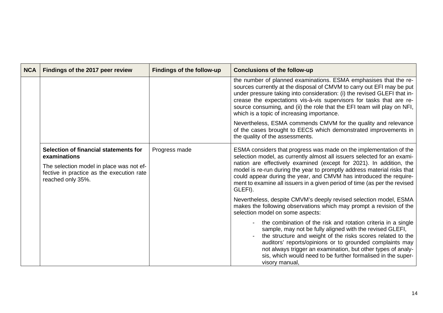| <b>NCA</b> | Findings of the 2017 peer review                                                                           | Findings of the follow-up | <b>Conclusions of the follow-up</b>                                                                                                                                                                                                                                                                                                                                                                                    |
|------------|------------------------------------------------------------------------------------------------------------|---------------------------|------------------------------------------------------------------------------------------------------------------------------------------------------------------------------------------------------------------------------------------------------------------------------------------------------------------------------------------------------------------------------------------------------------------------|
|            |                                                                                                            |                           | the number of planned examinations. ESMA emphasises that the re-<br>sources currently at the disposal of CMVM to carry out EFI may be put<br>under pressure taking into consideration: (i) the revised GLEFI that in-<br>crease the expectations vis-à-vis supervisors for tasks that are re-<br>source consuming, and (ii) the role that the EFI team will play on NFI,<br>which is a topic of increasing importance. |
|            |                                                                                                            |                           | Nevertheless, ESMA commends CMVM for the quality and relevance<br>of the cases brought to EECS which demonstrated improvements in<br>the quality of the assessments.                                                                                                                                                                                                                                                   |
|            | Selection of financial statements for<br>examinations                                                      | Progress made             | ESMA considers that progress was made on the implementation of the<br>selection model, as currently almost all issuers selected for an exami-                                                                                                                                                                                                                                                                          |
|            | The selection model in place was not ef-<br>fective in practice as the execution rate<br>reached only 35%. |                           | nation are effectively examined (except for 2021). In addition, the<br>model is re-run during the year to promptly address material risks that<br>could appear during the year, and CMVM has introduced the require-<br>ment to examine all issuers in a given period of time (as per the revised<br>GLEFI).                                                                                                           |
|            |                                                                                                            |                           | Nevertheless, despite CMVM's deeply revised selection model, ESMA<br>makes the following observations which may prompt a revision of the<br>selection model on some aspects:                                                                                                                                                                                                                                           |
|            |                                                                                                            |                           | the combination of the risk and rotation criteria in a single<br>sample, may not be fully aligned with the revised GLEFI,<br>the structure and weight of the risks scores related to the<br>auditors' reports/opinions or to grounded complaints may<br>not always trigger an examination, but other types of analy-<br>sis, which would need to be further formalised in the super-<br>visory manual,                 |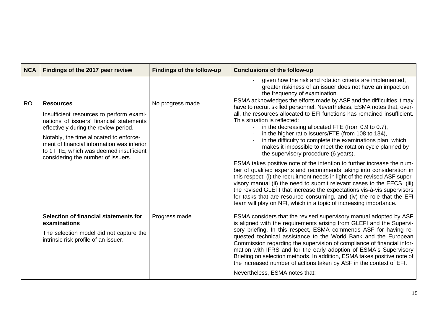| <b>NCA</b> | Findings of the 2017 peer review                                                                                                                                                                                                                                                                                            | <b>Findings of the follow-up</b> | <b>Conclusions of the follow-up</b>                                                                                                                                                                                                                                                                                                                                                                                                                                                                                                                                                                                                                                                                                                                                                                                                                                                                                                                                                                                                                                            |
|------------|-----------------------------------------------------------------------------------------------------------------------------------------------------------------------------------------------------------------------------------------------------------------------------------------------------------------------------|----------------------------------|--------------------------------------------------------------------------------------------------------------------------------------------------------------------------------------------------------------------------------------------------------------------------------------------------------------------------------------------------------------------------------------------------------------------------------------------------------------------------------------------------------------------------------------------------------------------------------------------------------------------------------------------------------------------------------------------------------------------------------------------------------------------------------------------------------------------------------------------------------------------------------------------------------------------------------------------------------------------------------------------------------------------------------------------------------------------------------|
|            |                                                                                                                                                                                                                                                                                                                             |                                  | given how the risk and rotation criteria are implemented,<br>greater riskiness of an issuer does not have an impact on<br>the frequency of examination.                                                                                                                                                                                                                                                                                                                                                                                                                                                                                                                                                                                                                                                                                                                                                                                                                                                                                                                        |
| <b>RO</b>  | <b>Resources</b><br>Insufficient resources to perform exami-<br>nations of issuers' financial statements<br>effectively during the review period.<br>Notably, the time allocated to enforce-<br>ment of financial information was inferior<br>to 1 FTE, which was deemed insufficient<br>considering the number of issuers. | No progress made                 | ESMA acknowledges the efforts made by ASF and the difficulties it may<br>have to recruit skilled personnel. Nevertheless, ESMA notes that, over-<br>all, the resources allocated to EFI functions has remained insufficient.<br>This situation is reflected:<br>in the decreasing allocated FTE (from 0.9 to 0.7),<br>in the higher ratio Issuers/FTE (from 108 to 134),<br>in the difficulty to complete the examinations plan, which<br>makes it impossible to meet the rotation cycle planned by<br>the supervisory procedure (6 years).<br>ESMA takes positive note of the intention to further increase the num-<br>ber of qualified experts and recommends taking into consideration in<br>this respect: (i) the recruitment needs in light of the revised ASF super-<br>visory manual (ii) the need to submit relevant cases to the EECS, (iii)<br>the revised GLEFI that increase the expectations vis-à-vis supervisors<br>for tasks that are resource consuming, and (iv) the role that the EFI<br>team will play on NFI, which in a topic of increasing importance. |
|            | Selection of financial statements for<br>examinations<br>The selection model did not capture the<br>intrinsic risk profile of an issuer.                                                                                                                                                                                    | Progress made                    | ESMA considers that the revised supervisory manual adopted by ASF<br>is aligned with the requirements arising from GLEFI and the Supervi-<br>sory briefing. In this respect, ESMA commends ASF for having re-<br>quested technical assistance to the World Bank and the European<br>Commission regarding the supervision of compliance of financial infor-<br>mation with IFRS and for the early adoption of ESMA's Supervisory<br>Briefing on selection methods. In addition, ESMA takes positive note of<br>the increased number of actions taken by ASF in the context of EFI.<br>Nevertheless, ESMA notes that:                                                                                                                                                                                                                                                                                                                                                                                                                                                            |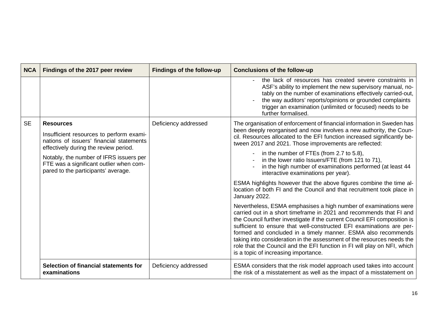| <b>NCA</b> | Findings of the 2017 peer review                                                                                                                                                                                                                                               | <b>Findings of the follow-up</b> | <b>Conclusions of the follow-up</b>                                                                                                                                                                                                                                                                                                                                                                                                                                                                                                                                                                                                                                                                                                                                                                                                                                                                                                                                                                                                                                                                                                                                                                                      |
|------------|--------------------------------------------------------------------------------------------------------------------------------------------------------------------------------------------------------------------------------------------------------------------------------|----------------------------------|--------------------------------------------------------------------------------------------------------------------------------------------------------------------------------------------------------------------------------------------------------------------------------------------------------------------------------------------------------------------------------------------------------------------------------------------------------------------------------------------------------------------------------------------------------------------------------------------------------------------------------------------------------------------------------------------------------------------------------------------------------------------------------------------------------------------------------------------------------------------------------------------------------------------------------------------------------------------------------------------------------------------------------------------------------------------------------------------------------------------------------------------------------------------------------------------------------------------------|
|            |                                                                                                                                                                                                                                                                                |                                  | the lack of resources has created severe constraints in<br>ASF's ability to implement the new supervisory manual, no-<br>tably on the number of examinations effectively carried-out,<br>the way auditors' reports/opinions or grounded complaints<br>trigger an examination (unlimited or focused) needs to be<br>further formalised.                                                                                                                                                                                                                                                                                                                                                                                                                                                                                                                                                                                                                                                                                                                                                                                                                                                                                   |
| <b>SE</b>  | <b>Resources</b><br>Insufficient resources to perform exami-<br>nations of issuers' financial statements<br>effectively during the review period.<br>Notably, the number of IFRS issuers per<br>FTE was a significant outlier when com-<br>pared to the participants' average. | Deficiency addressed             | The organisation of enforcement of financial information in Sweden has<br>been deeply reorganised and now involves a new authority, the Coun-<br>cil. Resources allocated to the EFI function increased significantly be-<br>tween 2017 and 2021. Those improvements are reflected:<br>in the number of FTEs (from 2.7 to 5.8),<br>in the lower ratio Issuers/FTE (from 121 to 71),<br>in the high number of examinations performed (at least 44<br>interactive examinations per year).<br>ESMA highlights however that the above figures combine the time al-<br>location of both FI and the Council and that recruitment took place in<br>January 2022.<br>Nevertheless, ESMA emphasises a high number of examinations were<br>carried out in a short timeframe in 2021 and recommends that FI and<br>the Council further investigate if the current Council EFI composition is<br>sufficient to ensure that well-constructed EFI examinations are per-<br>formed and concluded in a timely manner. ESMA also recommends<br>taking into consideration in the assessment of the resources needs the<br>role that the Council and the EFI function in FI will play on NFI, which<br>is a topic of increasing importance. |
|            | Selection of financial statements for<br>examinations                                                                                                                                                                                                                          | Deficiency addressed             | ESMA considers that the risk model approach used takes into account<br>the risk of a misstatement as well as the impact of a misstatement on                                                                                                                                                                                                                                                                                                                                                                                                                                                                                                                                                                                                                                                                                                                                                                                                                                                                                                                                                                                                                                                                             |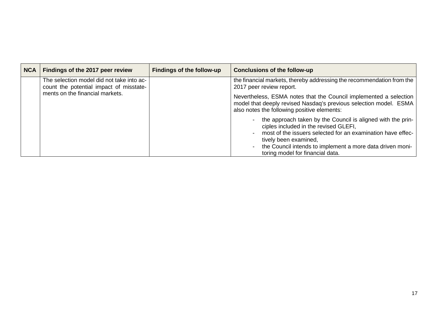| <b>NCA</b> | Findings of the 2017 peer review                                                     | <b>Findings of the follow-up</b> | <b>Conclusions of the follow-up</b>                                                                                                                                                                                                                                                           |
|------------|--------------------------------------------------------------------------------------|----------------------------------|-----------------------------------------------------------------------------------------------------------------------------------------------------------------------------------------------------------------------------------------------------------------------------------------------|
|            | The selection model did not take into ac-<br>count the potential impact of misstate- |                                  | the financial markets, thereby addressing the recommendation from the<br>2017 peer review report.                                                                                                                                                                                             |
|            | ments on the financial markets.                                                      |                                  | Nevertheless, ESMA notes that the Council implemented a selection<br>model that deeply revised Nasdaq's previous selection model. ESMA<br>also notes the following positive elements:                                                                                                         |
|            |                                                                                      |                                  | the approach taken by the Council is aligned with the prin-<br>ciples included in the revised GLEFI,<br>most of the issuers selected for an examination have effec-<br>tively been examined,<br>the Council intends to implement a more data driven moni-<br>toring model for financial data. |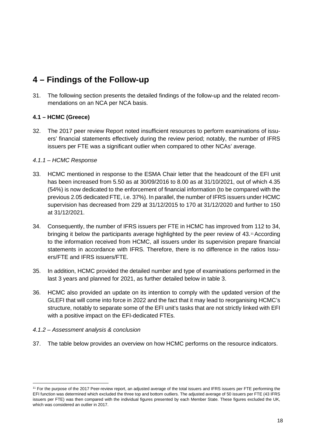# <span id="page-17-0"></span>**4 – Findings of the Follow-up**

31. The following section presents the detailed findings of the follow-up and the related recommendations on an NCA per NCA basis.

# <span id="page-17-1"></span>**4.1 – HCMC (Greece)**

32. The 2017 peer review Report noted insufficient resources to perform examinations of issuers' financial statements effectively during the review period; notably, the number of IFRS issuers per FTE was a significant outlier when compared to other NCAs' average.

# <span id="page-17-2"></span>*4.1.1 – HCMC Response*

- 33. HCMC mentioned in response to the ESMA Chair letter that the headcount of the EFI unit has been increased from 5.50 as at 30/09/2016 to 8.00 as at 31/10/2021, out of which 4.35 (54%) is now dedicated to the enforcement of financial information (to be compared with the previous 2.05 dedicated FTE, i.e. 37%). In parallel, the number of IFRS issuers under HCMC supervision has decreased from 229 at 31/12/2015 to 170 at 31/12/2020 and further to 150 at 31/12/2021.
- 34. Consequently, the number of IFRS issuers per FTE in HCMC has improved from 112 to 34, bringing it below the participants average highlighted by the peer review of 43.[11](#page-17-4)According to the information received from HCMC, all issuers under its supervision prepare financial statements in accordance with IFRS. Therefore, there is no difference in the ratios Issuers/FTE and IFRS issuers/FTE.
- 35. In addition, HCMC provided the detailed number and type of examinations performed in the last 3 years and planned for 2021, as further detailed below in table 3.
- 36. HCMC also provided an update on its intention to comply with the updated version of the GLEFI that will come into force in 2022 and the fact that it may lead to reorganising HCMC's structure, notably to separate some of the EFI unit's tasks that are not strictly linked with EFI with a positive impact on the EFI-dedicated FTEs.

#### <span id="page-17-3"></span>*4.1.2 – Assessment analysis & conclusion*

37. The table below provides an overview on how HCMC performs on the resource indicators.

<span id="page-17-4"></span><sup>&</sup>lt;sup>11</sup> For the purpose of the 2017 Peer-review report, an adjusted average of the total issuers and IFRS issuers per FTE performing the EFI function was determined which excluded the three top and bottom outliers. The adjusted average of 50 issuers per FTE (43 IFRS issuers per FTE) was then compared with the individual figures presented by each Member State. These figures excluded the UK, which was considered an outlier in 2017.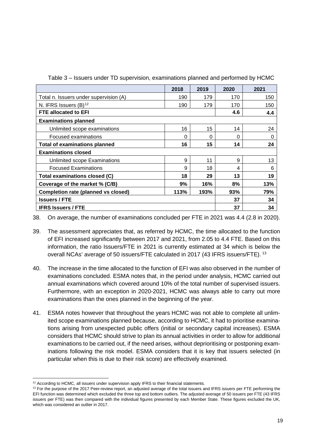|                                            | 2018     | 2019 | 2020 | 2021 |
|--------------------------------------------|----------|------|------|------|
| Total n. Issuers under supervision (A)     | 190      | 179  | 170  | 150  |
| N. IFRS Issuers (B) <sup>12</sup>          | 190      | 179  | 170  | 150  |
| <b>FTE allocated to EFI</b>                |          |      | 4.6  | 4.4  |
| <b>Examinations planned</b>                |          |      |      |      |
| Unlimited scope examinations               | 16       | 15   | 14   | 24   |
| Focused examinations                       | $\Omega$ | 0    | 0    | 0    |
| <b>Total of examinations planned</b>       | 16       | 15   | 14   | 24   |
| <b>Examinations closed</b>                 |          |      |      |      |
| Unlimited scope Examinations               | 9        | 11   | 9    | 13   |
| <b>Focused Examinations</b>                | 9        | 18   | 4    | 6    |
| Total examinations closed (C)              | 18       | 29   | 13   | 19   |
| Coverage of the market % (C/B)             | 9%       | 16%  | 8%   | 13%  |
| <b>Completion rate (planned vs closed)</b> | 113%     | 193% | 93%  | 79%  |
| <b>Issuers / FTE</b>                       |          |      | 37   | 34   |
| <b>IFRS Issuers / FTE</b>                  |          |      | 37   | 34   |

Table 3 – Issuers under TD supervision, examinations planned and performed by HCMC

38. On average, the number of examinations concluded per FTE in 2021 was 4.4 (2.8 in 2020).

39. The assessment appreciates that, as referred by HCMC, the time allocated to the function of EFI increased significantly between 2017 and 2021, from 2.05 to 4.4 FTE. Based on this information, the ratio Issuers/FTE in 2021 is currently estimated at 34 which is below the overall NCAs' average of 50 issuers/FTE calculated in 2017 (43 IFRS issuers/FTE). <sup>[13](#page-18-1)</sup>

- 40. The increase in the time allocated to the function of EFI was also observed in the number of examinations concluded. ESMA notes that, in the period under analysis, HCMC carried out annual examinations which covered around 10% of the total number of supervised issuers. Furthermore, with an exception in 2020-2021, HCMC was always able to carry out more examinations than the ones planned in the beginning of the year.
- 41. ESMA notes however that throughout the years HCMC was not able to complete all unlimited scope examinations planned because, according to HCMC, it had to prioritise examinations arising from unexpected public offers (initial or secondary capital increases). ESMA considers that HCMC should strive to plan its annual activities in order to allow for additional examinations to be carried out, if the need arises, without deprioritising or postponing examinations following the risk model. ESMA considers that it is key that issuers selected (in particular when this is due to their risk score) are effectively examined.

<span id="page-18-0"></span> $12$  According to HCMC, all issuers under supervision apply IFRS to their financial statements.

<span id="page-18-1"></span><sup>&</sup>lt;sup>13</sup> For the purpose of the 2017 Peer-review report, an adjusted average of the total issuers and IFRS issuers per FTE performing the EFI function was determined which excluded the three top and bottom outliers. The adjusted average of 50 issuers per FTE (43 IFRS issuers per FTE) was then compared with the individual figures presented by each Member State. These figures excluded the UK, which was considered an outlier in 2017.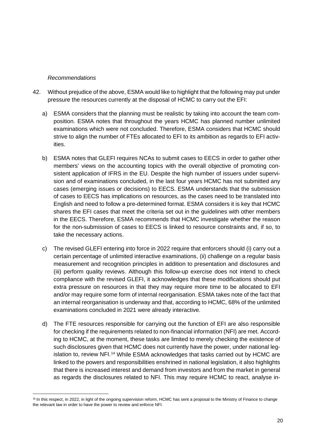#### *Recommendations*

- 42. Without prejudice of the above, ESMA would like to highlight that the following may put under pressure the resources currently at the disposal of HCMC to carry out the EFI:
	- a) ESMA considers that the planning must be realistic by taking into account the team composition. ESMA notes that throughout the years HCMC has planned number unlimited examinations which were not concluded. Therefore, ESMA considers that HCMC should strive to align the number of FTEs allocated to EFI to its ambition as regards to EFI activities.
	- b) ESMA notes that GLEFI requires NCAs to submit cases to EECS in order to gather other members' views on the accounting topics with the overall objective of promoting consistent application of IFRS in the EU. Despite the high number of issuers under supervision and of examinations concluded, in the last four years HCMC has not submitted any cases (emerging issues or decisions) to EECS. ESMA understands that the submission of cases to EECS has implications on resources, as the cases need to be translated into English and need to follow a pre-determined format. ESMA considers it is key that HCMC shares the EFI cases that meet the criteria set out in the guidelines with other members in the EECS. Therefore, ESMA recommends that HCMC investigate whether the reason for the non-submission of cases to EECS is linked to resource constraints and, if so, to take the necessary actions.
	- c) The revised GLEFI entering into force in 2022 require that enforcers should (i) carry out a certain percentage of unlimited interactive examinations, (ii) challenge on a regular basis measurement and recognition principles in addition to presentation and disclosures and (iii) perform quality reviews. Although this follow-up exercise does not intend to check compliance with the revised GLEFI, it acknowledges that these modifications should put extra pressure on resources in that they may require more time to be allocated to EFI and/or may require some form of internal reorganisation. ESMA takes note of the fact that an internal reorganisation is underway and that, according to HCMC, 68% of the unlimited examinations concluded in 2021 were already interactive.
	- d) The FTE resources responsible for carrying out the function of EFI are also responsible for checking if the requirements related to non-financial information (NFI) are met. According to HCMC, at the moment, these tasks are limited to merely checking the existence of such disclosures given that HCMC does not currently have the power, under national leg-islation to, review NFI.<sup>[14](#page-19-0)</sup> While ESMA acknowledges that tasks carried out by HCMC are linked to the powers and responsibilities enshrined in national legislation, it also highlights that there is increased interest and demand from investors and from the market in general as regards the disclosures related to NFI. This may require HCMC to react, analyse in-

<span id="page-19-0"></span><sup>14</sup> In this respect, in 2022, in light of the ongoing supervision reform, HCMC has sent a proposal to the Ministry of Finance to change the relevant law in order to have the power to review and enforce NFI.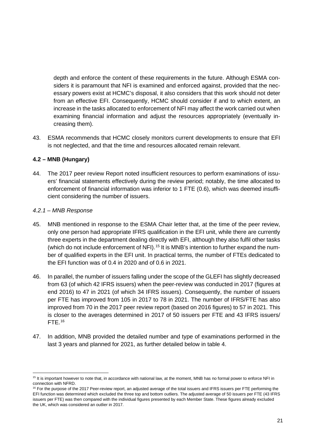depth and enforce the content of these requirements in the future. Although ESMA considers it is paramount that NFI is examined and enforced against, provided that the necessary powers exist at HCMC's disposal, it also considers that this work should not deter from an effective EFI. Consequently, HCMC should consider if and to which extent, an increase in the tasks allocated to enforcement of NFI may affect the work carried out when examining financial information and adjust the resources appropriately (eventually increasing them).

43. ESMA recommends that HCMC closely monitors current developments to ensure that EFI is not neglected, and that the time and resources allocated remain relevant.

# <span id="page-20-0"></span>**4.2 – MNB (Hungary)**

44. The 2017 peer review Report noted insufficient resources to perform examinations of issuers' financial statements effectively during the review period; notably, the time allocated to enforcement of financial information was inferior to 1 FTE (0.6), which was deemed insufficient considering the number of issuers.

#### <span id="page-20-1"></span>*4.2.1 – MNB Response*

- 45. MNB mentioned in response to the ESMA Chair letter that, at the time of the peer review, only one person had appropriate IFRS qualification in the EFI unit, while there are currently three experts in the department dealing directly with EFI, although they also fulfil other tasks (which do not include enforcement of NFI).<sup>[15](#page-20-2)</sup> It is MNB's intention to further expand the number of qualified experts in the EFI unit. In practical terms, the number of FTEs dedicated to the EFI function was of 0.4 in 2020 and of 0.6 in 2021.
- 46. In parallel, the number of issuers falling under the scope of the GLEFI has slightly decreased from 63 (of which 42 IFRS issuers) when the peer-review was conducted in 2017 (figures at end 2016) to 47 in 2021 (of which 34 IFRS issuers). Consequently, the number of issuers per FTE has improved from 105 in 2017 to 78 in 2021. The number of IFRS/FTE has also improved from 70 in the 2017 peer review report (based on 2016 figures) to 57 in 2021. This is closer to the averages determined in 2017 of 50 issuers per FTE and 43 IFRS issuers/ FTE. [16](#page-20-3)
- 47. In addition, MNB provided the detailed number and type of examinations performed in the last 3 years and planned for 2021, as further detailed below in table 4.

<span id="page-20-2"></span><sup>&</sup>lt;sup>15</sup> It is important however to note that, in accordance with national law, at the moment, MNB has no formal power to enforce NFI in connection with NFRD.

<span id="page-20-3"></span><sup>&</sup>lt;sup>16</sup> For the purpose of the 2017 Peer-review report, an adjusted average of the total issuers and IFRS issuers per FTE performing the EFI function was determined which excluded the three top and bottom outliers. The adjusted average of 50 issuers per FTE (43 IFRS issuers per FTE) was then compared with the individual figures presented by each Member State. These figures already excluded the UK, which was considered an outlier in 2017.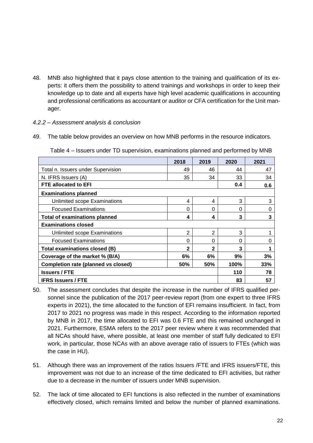48. MNB also highlighted that it pays close attention to the training and qualification of its experts: it offers them the possibility to attend trainings and workshops in order to keep their knowledge up to date and all experts have high level academic qualifications in accounting and professional certifications as accountant or auditor or CFA certification for the Unit manager.

#### <span id="page-21-0"></span>*4.2.2 – Assessment analysis & conclusion*

49. The table below provides an overview on how MNB performs in the resource indicators.

|                                                          | 2018           | 2019           | 2020 | 2021 |
|----------------------------------------------------------|----------------|----------------|------|------|
| Total n. Issuers under Supervision                       | 49             | 46             | 44   | 47   |
| N. IFRS Issuers (A)                                      | 35             | 34             | 33   | 34   |
| <b>FTE allocated to EFI</b>                              |                |                | 0.4  | 0.6  |
| <b>Examinations planned</b>                              |                |                |      |      |
| Unlimited scope Examinations                             | 4              | 4              | 3    | 3    |
| <b>Focused Examinations</b>                              | $\Omega$       | $\Omega$       | 0    | 0    |
| <b>Total of examinations planned</b>                     | 4              | 4              | 3    | 3    |
| <b>Examinations closed</b>                               |                |                |      |      |
| Unlimited scope Examinations                             | $\overline{2}$ | $\overline{2}$ | 3    |      |
| <b>Focused Examinations</b>                              | 0              | $\Omega$       | 0    | 0    |
| Total examinations closed (B)                            | $\mathbf{2}$   | $\mathbf{2}$   | 3    |      |
| Coverage of the market % (B/A)                           | 6%             | 6%             | 9%   | 3%   |
| <b>Completion rate (planned vs closed)</b><br>50%<br>50% |                |                |      | 33%  |
| <b>Issuers / FTE</b>                                     |                |                |      | 78   |
| <b>IFRS Issuers / FTE</b>                                |                |                |      | 57   |

Table 4 – Issuers under TD supervision, examinations planned and performed by MNB

- 50. The assessment concludes that despite the increase in the number of IFRS qualified personnel since the publication of the 2017 peer-review report (from one expert to three IFRS experts in 2021), the time allocated to the function of EFI remains insufficient. In fact, from 2017 to 2021 no progress was made in this respect. According to the information reported by MNB in 2017, the time allocated to EFI was 0.6 FTE and this remained unchanged in 2021. Furthermore, ESMA refers to the 2017 peer review where it was recommended that all NCAs should have, where possible, at least one member of staff fully dedicated to EFI work, in particular, those NCAs with an above average ratio of issuers to FTEs (which was the case in HU).
- 51. Although there was an improvement of the ratios Issuers /FTE and IFRS issuers/FTE, this improvement was not due to an increase of the time dedicated to EFI activities, but rather due to a decrease in the number of issuers under MNB supervision.
- 52. The lack of time allocated to EFI functions is also reflected in the number of examinations effectively closed, which remains limited and below the number of planned examinations.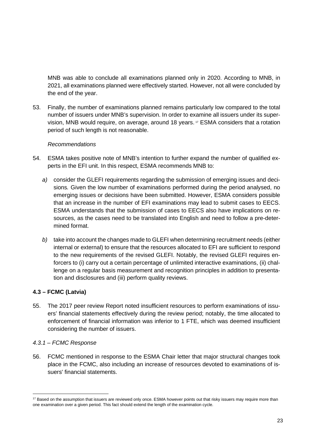MNB was able to conclude all examinations planned only in 2020. According to MNB, in 2021, all examinations planned were effectively started. However, not all were concluded by the end of the year.

53. Finally, the number of examinations planned remains particularly low compared to the total number of issuers under MNB's supervision. In order to examine all issuers under its supervision, MNB would require, on average, around 18 years. [17](#page-22-2) ESMA considers that a rotation period of such length is not reasonable.

#### *Recommendations*

- 54. ESMA takes positive note of MNB's intention to further expand the number of qualified experts in the EFI unit. In this respect, ESMA recommends MNB to:
	- *a)* consider the GLEFI requirements regarding the submission of emerging issues and decisions*.* Given the low number of examinations performed during the period analysed, no emerging issues or decisions have been submitted. However, ESMA considers possible that an increase in the number of EFI examinations may lead to submit cases to EECS. ESMA understands that the submission of cases to EECS also have implications on resources, as the cases need to be translated into English and need to follow a pre-determined format.
	- *b)* take into account the changes made to GLEFI when determining recruitment needs (either internal or external) to ensure that the resources allocated to EFI are sufficient to respond to the new requirements of the revised GLEFI. Notably, the revised GLEFI requires enforcers to (i) carry out a certain percentage of unlimited interactive examinations, (ii) challenge on a regular basis measurement and recognition principles in addition to presentation and disclosures and (iii) perform quality reviews.

# <span id="page-22-0"></span>**4.3 – FCMC (Latvia)**

55. The 2017 peer review Report noted insufficient resources to perform examinations of issuers' financial statements effectively during the review period; notably, the time allocated to enforcement of financial information was inferior to 1 FTE, which was deemed insufficient considering the number of issuers.

# <span id="page-22-1"></span>*4.3.1 – FCMC Response*

56. FCMC mentioned in response to the ESMA Chair letter that major structural changes took place in the FCMC, also including an increase of resources devoted to examinations of issuers' financial statements.

<span id="page-22-2"></span><sup>&</sup>lt;sup>17</sup> Based on the assumption that issuers are reviewed only once. ESMA however points out that risky issuers may require more than one examination over a given period. This fact should extend the length of the examination cycle.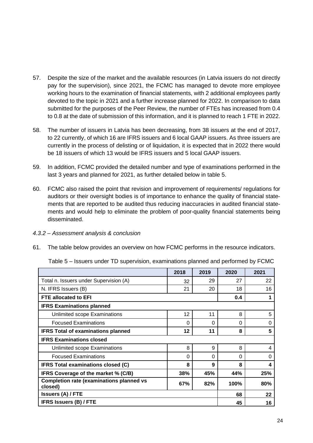- 57. Despite the size of the market and the available resources (in Latvia issuers do not directly pay for the supervision), since 2021, the FCMC has managed to devote more employee working hours to the examination of financial statements, with 2 additional employees partly devoted to the topic in 2021 and a further increase planned for 2022. In comparison to data submitted for the purposes of the Peer Review, the number of FTEs has increased from 0.4 to 0.8 at the date of submission of this information, and it is planned to reach 1 FTE in 2022.
- 58. The number of issuers in Latvia has been decreasing, from 38 issuers at the end of 2017, to 22 currently, of which 16 are IFRS issuers and 6 local GAAP issuers. As three issuers are currently in the process of delisting or of liquidation, it is expected that in 2022 there would be 18 issuers of which 13 would be IFRS issuers and 5 local GAAP issuers.
- 59. In addition, FCMC provided the detailed number and type of examinations performed in the last 3 years and planned for 2021, as further detailed below in table 5.
- 60. FCMC also raised the point that revision and improvement of requirements/ regulations for auditors or their oversight bodies is of importance to enhance the quality of financial statements that are reported to be audited thus reducing inaccuracies in audited financial statements and would help to eliminate the problem of poor-quality financial statements being disseminated.
- <span id="page-23-0"></span>*4.3.2 – Assessment analysis & conclusion*
- 61. The table below provides an overview on how FCMC performs in the resource indicators.

|                                                            | 2018     | 2019     | 2020        | 2021 |
|------------------------------------------------------------|----------|----------|-------------|------|
| Total n. Issuers under Supervision (A)                     | 32       | 29       | 27          | 22   |
| N. IFRS Issuers (B)                                        | 21       | 20       | 18          | 16   |
| FTE allocated to EFI                                       |          |          | 0.4         | 1    |
| <b>IFRS Examinations planned</b>                           |          |          |             |      |
| Unlimited scope Examinations                               | 12       | 11       | 8           | 5    |
| <b>Focused Examinations</b>                                | $\Omega$ | $\Omega$ | 0           | 0    |
| <b>IFRS Total of examinations planned</b>                  | 12       | 11       | 8           | 5    |
| <b>IFRS Examinations closed</b>                            |          |          |             |      |
| Unlimited scope Examinations                               | 8        | 9        | 8           | 4    |
| <b>Focused Examinations</b>                                | 0        | 0        | 0           | 0    |
| <b>IFRS Total examinations closed (C)</b>                  | 8        | 9        | 8           | 4    |
| IFRS Coverage of the market % (C/B)                        | 38%      | 45%      | 44%         | 25%  |
| <b>Completion rate (examinations planned vs</b><br>closed) | 67%      | 82%      | <b>100%</b> | 80%  |
| <b>Issuers (A) / FTE</b>                                   | 68       | 22       |             |      |
| <b>IFRS Issuers (B) / FTE</b>                              |          |          | 45          | 16   |

Table 5 – Issuers under TD supervision, examinations planned and performed by FCMC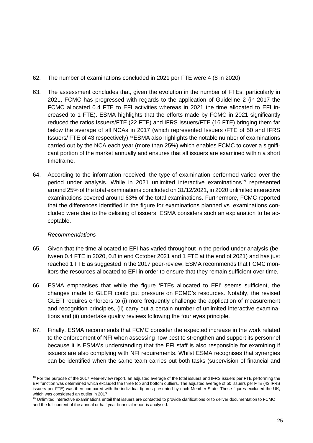- 62. The number of examinations concluded in 2021 per FTE were 4 (8 in 2020).
- 63. The assessment concludes that, given the evolution in the number of FTEs, particularly in 2021, FCMC has progressed with regards to the application of Guideline 2 (in 2017 the FCMC allocated 0.4 FTE to EFI activities whereas in 2021 the time allocated to EFI increased to 1 FTE). ESMA highlights that the efforts made by FCMC in 2021 significantly reduced the ratios Issuers/FTE (22 FTE) and IFRS Issuers/FTE (16 FTE) bringing them far below the average of all NCAs in 2017 (which represented Issuers /FTE of 50 and IFRS Issuers/ FTE of 43 respectively).[18](#page-24-0)ESMA also highlights the notable number of examinations carried out by the NCA each year (more than 25%) which enables FCMC to cover a significant portion of the market annually and ensures that all issuers are examined within a short timeframe.
- 64. According to the information received, the type of examination performed varied over the period under analysis. While in 2021 unlimited interactive examinations<sup>[19](#page-24-1)</sup> represented around 25% of the total examinations concluded on 31/12/2021, in 2020 unlimited interactive examinations covered around 63% of the total examinations. Furthermore, FCMC reported that the differences identified in the figure for examinations planned vs. examinations concluded were due to the delisting of issuers. ESMA considers such an explanation to be acceptable.

#### *Recommendations*

- 65. Given that the time allocated to EFI has varied throughout in the period under analysis (between 0.4 FTE in 2020, 0.8 in end October 2021 and 1 FTE at the end of 2021) and has just reached 1 FTE as suggested in the 2017 peer-review, ESMA recommends that FCMC monitors the resources allocated to EFI in order to ensure that they remain sufficient over time.
- 66. ESMA emphasises that while the figure 'FTEs allocated to EFI' seems sufficient, the changes made to GLEFI could put pressure on FCMC's resources. Notably, the revised GLEFI requires enforcers to (i) more frequently challenge the application of measurement and recognition principles, (ii) carry out a certain number of unlimited interactive examinations and (ii) undertake quality reviews following the four eyes principle.
- 67. Finally, ESMA recommends that FCMC consider the expected increase in the work related to the enforcement of NFI when assessing how best to strengthen and support its personnel because it is ESMA's understanding that the EFI staff is also responsible for examining if issuers are also complying with NFI requirements. Whilst ESMA recognises that synergies can be identified when the same team carries out both tasks (supervision of financial and

<span id="page-24-0"></span><sup>&</sup>lt;sup>18</sup> For the purpose of the 2017 Peer-review report, an adjusted average of the total issuers and IFRS issuers per FTE performing the EFI function was determined which excluded the three top and bottom outliers. The adjusted average of 50 issuers per FTE (43 IFRS issuers per FTE) was then compared with the individual figures presented by each Member State. These figures excluded the UK, which was considered an outlier in 2017.

<span id="page-24-1"></span><sup>19</sup> Unlimited interactive examinations entail that issuers are contacted to provide clarifications or to deliver documentation to FCMC and the full content of the annual or half year financial report is analysed.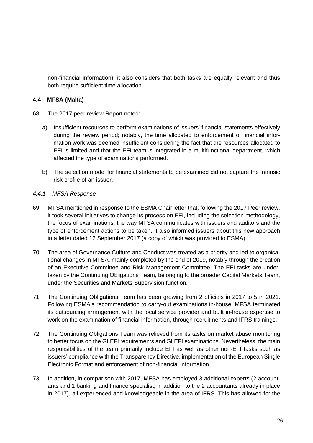non-financial information), it also considers that both tasks are equally relevant and thus both require sufficient time allocation.

# <span id="page-25-0"></span>**4.4 – MFSA (Malta)**

- 68. The 2017 peer review Report noted:
	- a) Insufficient resources to perform examinations of issuers' financial statements effectively during the review period; notably, the time allocated to enforcement of financial information work was deemed insufficient considering the fact that the resources allocated to EFI is limited and that the EFI team is integrated in a multifunctional department, which affected the type of examinations performed.
	- b) The selection model for financial statements to be examined did not capture the intrinsic risk profile of an issuer.

# <span id="page-25-1"></span>*4.4.1 – MFSA Response*

- 69. MFSA mentioned in response to the ESMA Chair letter that, following the 2017 Peer review, it took several initiatives to change its process on EFI, including the selection methodology, the focus of examinations, the way MFSA communicates with issuers and auditors and the type of enforcement actions to be taken. It also informed issuers about this new approach in a letter dated 12 September 2017 (a copy of which was provided to ESMA).
- 70. The area of Governance Culture and Conduct was treated as a priority and led to organisational changes in MFSA, mainly completed by the end of 2019, notably through the creation of an Executive Committee and Risk Management Committee. The EFI tasks are undertaken by the Continuing Obligations Team, belonging to the broader Capital Markets Team, under the Securities and Markets Supervision function.
- 71. The Continuing Obligations Team has been growing from 2 officials in 2017 to 5 in 2021. Following ESMA's recommendation to carry-out examinations in-house, MFSA terminated its outsourcing arrangement with the local service provider and built in-house expertise to work on the examination of financial information, through recruitments and IFRS trainings.
- 72. The Continuing Obligations Team was relieved from its tasks on market abuse monitoring to better focus on the GLEFI requirements and GLEFI examinations. Nevertheless, the main responsibilities of the team primarily include EFI as well as other non-EFI tasks such as issuers' compliance with the Transparency Directive, implementation of the European Single Electronic Format and enforcement of non-financial information.
- 73. In addition, in comparison with 2017, MFSA has employed 3 additional experts (2 accountants and 1 banking and finance specialist, in addition to the 2 accountants already in place in 2017), all experienced and knowledgeable in the area of IFRS. This has allowed for the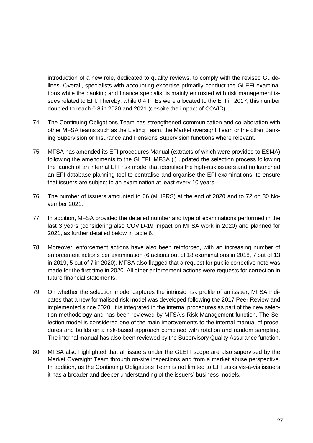introduction of a new role, dedicated to quality reviews, to comply with the revised Guidelines. Overall, specialists with accounting expertise primarily conduct the GLEFI examinations while the banking and finance specialist is mainly entrusted with risk management issues related to EFI. Thereby, while 0.4 FTEs were allocated to the EFI in 2017, this number doubled to reach 0.8 in 2020 and 2021 (despite the impact of COVID).

- 74. The Continuing Obligations Team has strengthened communication and collaboration with other MFSA teams such as the Listing Team, the Market oversight Team or the other Banking Supervision or Insurance and Pensions Supervision functions where relevant.
- 75. MFSA has amended its EFI procedures Manual (extracts of which were provided to ESMA) following the amendments to the GLEFI. MFSA (i) updated the selection process following the launch of an internal EFI risk model that identifies the high-risk issuers and (ii) launched an EFI database planning tool to centralise and organise the EFI examinations, to ensure that issuers are subject to an examination at least every 10 years.
- 76. The number of issuers amounted to 66 (all IFRS) at the end of 2020 and to 72 on 30 November 2021.
- 77. In addition, MFSA provided the detailed number and type of examinations performed in the last 3 years (considering also COVID-19 impact on MFSA work in 2020) and planned for 2021, as further detailed below in table 6.
- 78. Moreover, enforcement actions have also been reinforced, with an increasing number of enforcement actions per examination (6 actions out of 18 examinations in 2018, 7 out of 13 in 2019, 5 out of 7 in 2020). MFSA also flagged that a request for public corrective note was made for the first time in 2020. All other enforcement actions were requests for correction in future financial statements.
- 79. On whether the selection model captures the intrinsic risk profile of an issuer, MFSA indicates that a new formalised risk model was developed following the 2017 Peer Review and implemented since 2020. It is integrated in the internal procedures as part of the new selection methodology and has been reviewed by MFSA's Risk Management function. The Selection model is considered one of the main improvements to the internal manual of procedures and builds on a risk-based approach combined with rotation and random sampling. The internal manual has also been reviewed by the Supervisory Quality Assurance function.
- 80. MFSA also highlighted that all issuers under the GLEFI scope are also supervised by the Market Oversight Team through on-site inspections and from a market abuse perspective. In addition, as the Continuing Obligations Team is not limited to EFI tasks vis-à-vis issuers it has a broader and deeper understanding of the issuers' business models.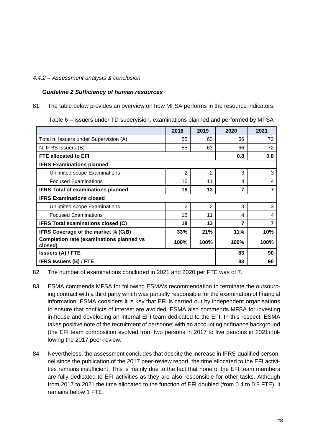#### <span id="page-27-0"></span>*4.4.2 – Assessment analysis & conclusion*

#### *Guideline 2 Sufficiency of human resources*

81. The table below provides an overview on how MFSA performs in the resource indicators.

Table 6 – Issuers under TD supervision, examinations planned and performed by MFSA

|                                                            | 2018           | 2019           | 2020 | 2021 |
|------------------------------------------------------------|----------------|----------------|------|------|
| Total n. Issuers under Supervision (A)                     | 55             | 63             | 66   | 72   |
| N. IFRS Issuers (B)                                        | 55             | 63             | 66   | 72   |
| <b>FTE allocated to EFI</b>                                |                |                | 0.8  | 0.8  |
| <b>IFRS Examinations planned</b>                           |                |                |      |      |
| Unlimited scope Examinations                               | $\overline{2}$ | $\overline{2}$ | 3    | 3    |
| <b>Focused Examinations</b>                                | 16             | 11             | 4    | 4    |
| <b>IFRS Total of examinations planned</b>                  | 18             | 13             | 7    | 7    |
| <b>IFRS Examinations closed</b>                            |                |                |      |      |
| Unlimited scope Examinations                               | $\overline{2}$ | 2              | 3    | 3    |
| <b>Focused Examinations</b>                                | 16             | 11             | 4    | 4    |
| <b>IFRS Total examinations closed (C)</b>                  | 18             | 13             | 7    | 7    |
| IFRS Coverage of the market % (C/B)                        | 33%            | 21%            | 11%  | 10%  |
| <b>Completion rate (examinations planned vs</b><br>closed) | 100%           | 100%           | 100% | 100% |
| <b>Issuers (A) / FTE</b>                                   |                |                |      | 90   |
| <b>IFRS Issuers (B) / FTE</b>                              |                |                |      | 90   |

82. The number of examinations concluded in 2021 and 2020 per FTE was of 7.

- 83. ESMA commends MFSA for following ESMA's recommendation to terminate the outsourcing contract with a third party which was partially responsible for the examination of financial information. ESMA considers it is key that EFI is carried out by independent organisations to ensure that conflicts of interest are avoided. ESMA also commends MFSA for investing in-house and developing an internal EFI team dedicated to the EFI. In this respect, ESMA takes positive note of the recruitment of personnel with an accounting or finance background (the EFI team composition evolved from two persons in 2017 to five persons in 2021) following the 2017 peer-review.
- 84. Nevertheless, the assessment concludes that despite the increase in IFRS-qualified personnel since the publication of the 2017 peer-review report, the time allocated to the EFI activities remains insufficient. This is mainly due to the fact that none of the EFI team members are fully dedicated to EFI activities as they are also responsible for other tasks. Although from 2017 to 2021 the time allocated to the function of EFI doubled (from 0.4 to 0.8 FTE), it remains below 1 FTE.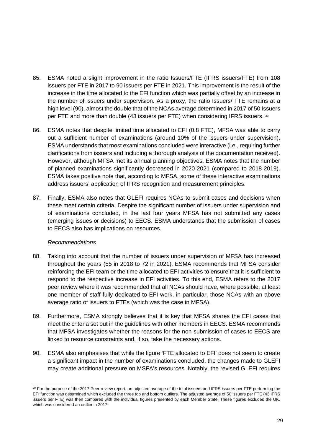- 85. ESMA noted a slight improvement in the ratio Issuers/FTE (IFRS issuers/FTE) from 108 issuers per FTE in 2017 to 90 issuers per FTE in 2021. This improvement is the result of the increase in the time allocated to the EFI function which was partially offset by an increase in the number of issuers under supervision. As a proxy, the ratio Issuers/ FTE remains at a high level (90), almost the double that of the NCAs average determined in 2017 of 50 Issuers per FTE and more than double (43 issuers per FTE) when considering IFRS issuers. [20](#page-28-0)
- 86. ESMA notes that despite limited time allocated to EFI (0.8 FTE), MFSA was able to carry out a sufficient number of examinations (around 10% of the issuers under supervision). ESMA understands that most examinations concluded were interactive (i.e., requiring further clarifications from issuers and including a thorough analysis of the documentation received). However, although MFSA met its annual planning objectives, ESMA notes that the number of planned examinations significantly decreased in 2020-2021 (compared to 2018-2019). ESMA takes positive note that, according to MFSA, some of these interactive examinations address issuers' application of IFRS recognition and measurement principles.
- 87. Finally, ESMA also notes that GLEFI requires NCAs to submit cases and decisions when these meet certain criteria. Despite the significant number of issuers under supervision and of examinations concluded, in the last four years MFSA has not submitted any cases (emerging issues or decisions) to EECS. ESMA understands that the submission of cases to EECS also has implications on resources.

#### *Recommendations*

- 88. Taking into account that the number of issuers under supervision of MFSA has increased throughout the years (55 in 2018 to 72 in 2021), ESMA recommends that MFSA consider reinforcing the EFI team or the time allocated to EFI activities to ensure that it is sufficient to respond to the respective increase in EFI activities. To this end, ESMA refers to the 2017 peer review where it was recommended that all NCAs should have, where possible, at least one member of staff fully dedicated to EFI work, in particular, those NCAs with an above average ratio of issuers to FTEs (which was the case in MFSA).
- 89. Furthermore, ESMA strongly believes that it is key that MFSA shares the EFI cases that meet the criteria set out in the guidelines with other members in EECS. ESMA recommends that MFSA investigates whether the reasons for the non-submission of cases to EECS are linked to resource constraints and, if so, take the necessary actions.
- 90. ESMA also emphasises that while the figure 'FTE allocated to EFI' does not seem to create a significant impact in the number of examinations concluded, the changes made to GLEFI may create additional pressure on MSFA's resources. Notably, the revised GLEFI requires

<span id="page-28-0"></span> $20$  For the purpose of the 2017 Peer-review report, an adjusted average of the total issuers and IFRS issuers per FTE performing the EFI function was determined which excluded the three top and bottom outliers. The adjusted average of 50 issuers per FTE (43 IFRS issuers per FTE) was then compared with the individual figures presented by each Member State. These figures excluded the UK, which was considered an outlier in 2017.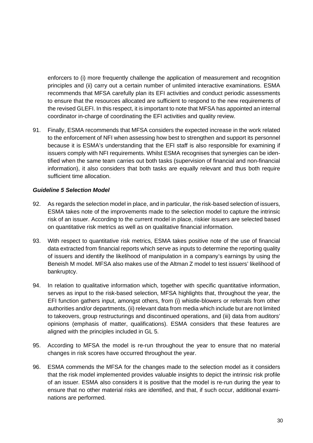enforcers to (i) more frequently challenge the application of measurement and recognition principles and (ii) carry out a certain number of unlimited interactive examinations. ESMA recommends that MFSA carefully plan its EFI activities and conduct periodic assessments to ensure that the resources allocated are sufficient to respond to the new requirements of the revised GLEFI. In this respect, it is important to note that MFSA has appointed an internal coordinator in-charge of coordinating the EFI activities and quality review.

91. Finally, ESMA recommends that MFSA considers the expected increase in the work related to the enforcement of NFI when assessing how best to strengthen and support its personnel because it is ESMA's understanding that the EFI staff is also responsible for examining if issuers comply with NFI requirements. Whilst ESMA recognises that synergies can be identified when the same team carries out both tasks (supervision of financial and non-financial information), it also considers that both tasks are equally relevant and thus both require sufficient time allocation.

#### *Guideline 5 Selection Model*

- 92. As regards the selection model in place, and in particular, the risk-based selection of issuers, ESMA takes note of the improvements made to the selection model to capture the intrinsic risk of an issuer. According to the current model in place, riskier issuers are selected based on quantitative risk metrics as well as on qualitative financial information.
- 93. With respect to quantitative risk metrics, ESMA takes positive note of the use of financial data extracted from financial reports which serve as inputs to determine the reporting quality of issuers and identify the likelihood of manipulation in a company's earnings by using the Beneish M model. MFSA also makes use of the Altman Z model to test issuers' likelihood of bankruptcy.
- 94. In relation to qualitative information which, together with specific quantitative information, serves as input to the risk-based selection, MFSA highlights that, throughout the year, the EFI function gathers input, amongst others, from (i) whistle-blowers or referrals from other authorities and/or departments, (ii) relevant data from media which include but are not limited to takeovers, group restructurings and discontinued operations, and (iii) data from auditors' opinions (emphasis of matter, qualifications). ESMA considers that these features are aligned with the principles included in GL 5.
- 95. According to MFSA the model is re-run throughout the year to ensure that no material changes in risk scores have occurred throughout the year.
- 96. ESMA commends the MFSA for the changes made to the selection model as it considers that the risk model implemented provides valuable insights to depict the intrinsic risk profile of an issuer. ESMA also considers it is positive that the model is re-run during the year to ensure that no other material risks are identified, and that, if such occur, additional examinations are performed.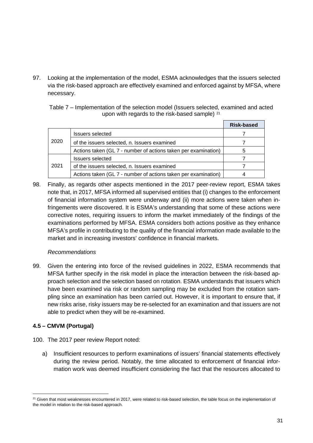97. Looking at the implementation of the model, ESMA acknowledges that the issuers selected via the risk-based approach are effectively examined and enforced against by MFSA, where necessary.

Table 7 – Implementation of the selection model (Issuers selected, examined and acted upon with regards to the risk-based sample) <sup>[21](#page-30-1)</sup>

|      |                                                                | Risk-based |
|------|----------------------------------------------------------------|------------|
|      | <b>Issuers selected</b>                                        |            |
| 2020 | of the issuers selected, n. Issuers examined                   |            |
|      | Actions taken (GL 7 - number of actions taken per examination) | b          |
|      | <b>Issuers selected</b>                                        |            |
| 2021 | of the issuers selected, n. Issuers examined                   |            |
|      | Actions taken (GL 7 - number of actions taken per examination) |            |

98. Finally, as regards other aspects mentioned in the 2017 peer-review report, ESMA takes note that, in 2017, MFSA informed all supervised entities that (i) changes to the enforcement of financial information system were underway and (ii) more actions were taken when infringements were discovered. It is ESMA's understanding that some of these actions were corrective notes, requiring issuers to inform the market immediately of the findings of the examinations performed by MFSA. ESMA considers both actions positive as they enhance MFSA's profile in contributing to the quality of the financial information made available to the market and in increasing investors' confidence in financial markets.

# *Recommendations*

99. Given the entering into force of the revised guidelines in 2022, ESMA recommends that MFSA further specify in the risk model in place the interaction between the risk-based approach selection and the selection based on rotation. ESMA understands that issuers which have been examined via risk or random sampling may be excluded from the rotation sampling since an examination has been carried out. However, it is important to ensure that, if new risks arise, risky issuers may be re-selected for an examination and that issuers are not able to predict when they will be re-examined.

# <span id="page-30-0"></span>**4.5 – CMVM (Portugal)**

- 100. The 2017 peer review Report noted:
	- a) Insufficient resources to perform examinations of issuers' financial statements effectively during the review period. Notably, the time allocated to enforcement of financial information work was deemed insufficient considering the fact that the resources allocated to

<span id="page-30-1"></span> $21$  Given that most weaknesses encountered in 2017, were related to risk-based selection, the table focus on the implementation of the model in relation to the risk-based approach.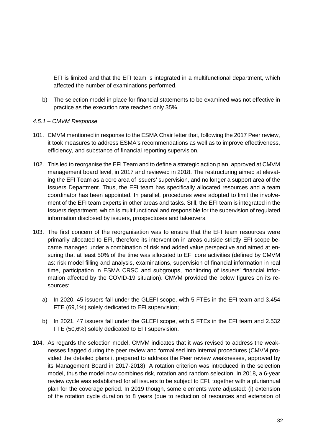EFI is limited and that the EFI team is integrated in a multifunctional department, which affected the number of examinations performed.

- b) The selection model in place for financial statements to be examined was not effective in practice as the execution rate reached only 35%.
- <span id="page-31-0"></span>*4.5.1 – CMVM Response*
- 101. CMVM mentioned in response to the ESMA Chair letter that, following the 2017 Peer review, it took measures to address ESMA's recommendations as well as to improve effectiveness, efficiency, and substance of financial reporting supervision.
- 102. This led to reorganise the EFI Team and to define a strategic action plan, approved at CMVM management board level, in 2017 and reviewed in 2018. The restructuring aimed at elevating the EFI Team as a core area of issuers' supervision, and no longer a support area of the Issuers Department. Thus, the EFI team has specifically allocated resources and a team coordinator has been appointed. In parallel, procedures were adopted to limit the involvement of the EFI team experts in other areas and tasks. Still, the EFI team is integrated in the Issuers department, which is multifunctional and responsible for the supervision of regulated information disclosed by issuers, prospectuses and takeovers.
- 103. The first concern of the reorganisation was to ensure that the EFI team resources were primarily allocated to EFI, therefore its intervention in areas outside strictly EFI scope became managed under a combination of risk and added value perspective and aimed at ensuring that at least 50% of the time was allocated to EFI core activities (defined by CMVM as: risk model filling and analysis, examinations, supervision of financial information in real time, participation in ESMA CRSC and subgroups, monitoring of issuers' financial information affected by the COVID-19 situation). CMVM provided the below figures on its resources:
	- a) In 2020, 45 issuers fall under the GLEFI scope, with 5 FTEs in the EFI team and 3.454 FTE (69,1%) solely dedicated to EFI supervision;
	- b) In 2021, 47 issuers fall under the GLEFI scope, with 5 FTEs in the EFI team and 2.532 FTE (50,6%) solely dedicated to EFI supervision.
- 104. As regards the selection model, CMVM indicates that it was revised to address the weaknesses flagged during the peer review and formalised into internal procedures (CMVM provided the detailed plans it prepared to address the Peer review weaknesses, approved by its Management Board in 2017-2018). A rotation criterion was introduced in the selection model, thus the model now combines risk, rotation and random selection. In 2018, a 6-year review cycle was established for all issuers to be subject to EFI, together with a pluriannual plan for the coverage period. In 2019 though, some elements were adjusted: (i) extension of the rotation cycle duration to 8 years (due to reduction of resources and extension of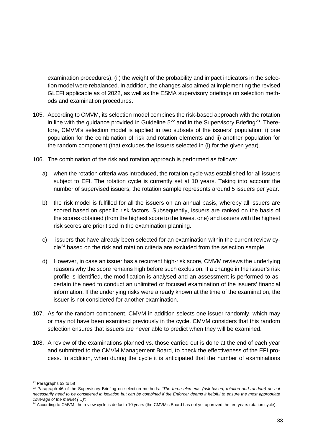examination procedures), (ii) the weight of the probability and impact indicators in the selection model were rebalanced. In addition, the changes also aimed at implementing the revised GLEFI applicable as of 2022, as well as the ESMA supervisory briefings on selection methods and examination procedures.

- 105. According to CMVM, its selection model combines the risk-based approach with the rotation in line with the quidance provided in Guideline  $5^{22}$  $5^{22}$  $5^{22}$  and in the Supervisory Briefing<sup>[23](#page-32-1)</sup>. Therefore, CMVM's selection model is applied in two subsets of the issuers' population: i) one population for the combination of risk and rotation elements and ii) another population for the random component (that excludes the issuers selected in (i) for the given year).
- 106. The combination of the risk and rotation approach is performed as follows:
	- a) when the rotation criteria was introduced, the rotation cycle was established for all issuers subject to EFI. The rotation cycle is currently set at 10 years. Taking into account the number of supervised issuers, the rotation sample represents around 5 issuers per year.
	- b) the risk model is fulfilled for all the issuers on an annual basis, whereby all issuers are scored based on specific risk factors. Subsequently, issuers are ranked on the basis of the scores obtained (from the highest score to the lowest one) and issuers with the highest risk scores are prioritised in the examination planning.
	- c) issuers that have already been selected for an examination within the current review cycle[24](#page-32-2) based on the risk and rotation criteria are excluded from the selection sample.
	- d) However, in case an issuer has a recurrent high-risk score, CMVM reviews the underlying reasons why the score remains high before such exclusion. If a change in the issuer's risk profile is identified, the modification is analysed and an assessment is performed to ascertain the need to conduct an unlimited or focused examination of the issuers' financial information. If the underlying risks were already known at the time of the examination, the issuer is not considered for another examination.
- 107. As for the random component, CMVM in addition selects one issuer randomly, which may or may not have been examined previously in the cycle. CMVM considers that this random selection ensures that issuers are never able to predict when they will be examined.
- 108. A review of the examinations planned vs. those carried out is done at the end of each year and submitted to the CMVM Management Board, to check the effectiveness of the EFI process. In addition, when during the cycle it is anticipated that the number of examinations

<span id="page-32-0"></span><sup>22</sup> Paragraphs 53 to 58

<span id="page-32-1"></span><sup>23</sup> Paragraph 46 of the Supervisory Briefing on selection methods: "*The three elements (risk-based, rotation and random) do not necessarily need to be considered in isolation but can be combined if the Enforcer deems it helpful to ensure the most appropriate coverage of the market (…)".*

<span id="page-32-2"></span><sup>&</sup>lt;sup>24</sup> According to CMVM, the review cycle is de facto 10 years (the CMVM's Board has not yet approved the ten-years rotation cycle).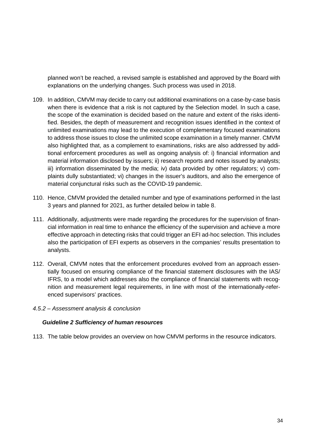planned won't be reached, a revised sample is established and approved by the Board with explanations on the underlying changes. Such process was used in 2018.

- 109. In addition, CMVM may decide to carry out additional examinations on a case-by-case basis when there is evidence that a risk is not captured by the Selection model. In such a case, the scope of the examination is decided based on the nature and extent of the risks identified. Besides, the depth of measurement and recognition issues identified in the context of unlimited examinations may lead to the execution of complementary focused examinations to address those issues to close the unlimited scope examination in a timely manner. CMVM also highlighted that, as a complement to examinations, risks are also addressed by additional enforcement procedures as well as ongoing analysis of: i) financial information and material information disclosed by issuers; ii) research reports and notes issued by analysts; iii) information disseminated by the media; iv) data provided by other regulators; v) complaints dully substantiated; vi) changes in the issuer's auditors, and also the emergence of material conjunctural risks such as the COVID-19 pandemic.
- 110. Hence, CMVM provided the detailed number and type of examinations performed in the last 3 years and planned for 2021, as further detailed below in table 8.
- 111. Additionally, adjustments were made regarding the procedures for the supervision of financial information in real time to enhance the efficiency of the supervision and achieve a more effective approach in detecting risks that could trigger an EFI ad-hoc selection. This includes also the participation of EFI experts as observers in the companies' results presentation to analysts.
- 112. Overall, CMVM notes that the enforcement procedures evolved from an approach essentially focused on ensuring compliance of the financial statement disclosures with the IAS/ IFRS, to a model which addresses also the compliance of financial statements with recognition and measurement legal requirements, in line with most of the internationally-referenced supervisors' practices.
- <span id="page-33-0"></span>*4.5.2 – Assessment analysis & conclusion*

#### *Guideline 2 Sufficiency of human resources*

113. The table below provides an overview on how CMVM performs in the resource indicators.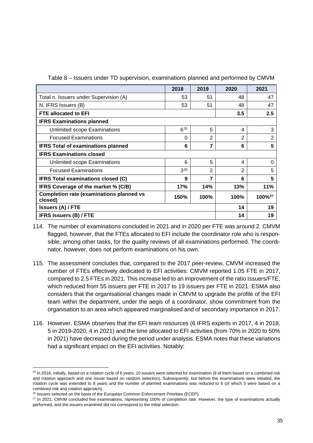|                                                            | 2018     | 2019 | 2020 | 2021               |
|------------------------------------------------------------|----------|------|------|--------------------|
| Total n. Issuers under Supervision (A)                     | 53       | 51   | 48   | 47                 |
| N. IFRS Issuers (B)                                        | 53       | 51   | 48   | 47                 |
| <b>FTE allocated to EFI</b>                                |          |      | 3.5  | 2.5                |
| <b>IFRS Examinations planned</b>                           |          |      |      |                    |
| Unlimited scope Examinations                               | $6^{25}$ | 5    | 4    | 3                  |
| <b>Focused Examinations</b>                                | 0        | 2    | 2    | $\overline{2}$     |
| <b>IFRS Total of examinations planned</b>                  | 6        | 7    | 6    | 5                  |
| <b>IFRS Examinations closed</b>                            |          |      |      |                    |
| Unlimited scope Examinations                               | 6        | 5    | 4    | 0                  |
| <b>Focused Examinations</b>                                | $3^{26}$ | 2    | 2    | 5                  |
| <b>IFRS Total examinations closed (C)</b>                  | 9        | 7    | 6    | 5                  |
| IFRS Coverage of the market % (C/B)                        | 17%      | 14%  | 13%  | 11%                |
| <b>Completion rate (examinations planned vs</b><br>closed) | 150%     | 100% | 100% | 100% <sup>27</sup> |
| <b>Issuers (A) / FTE</b>                                   |          |      |      | 19                 |
| <b>IFRS Issuers (B) / FTE</b>                              |          |      | 14   | 19                 |

Table 8 – Issuers under TD supervision, examinations planned and performed by CMVM

- 114. The number of examinations concluded in 2021 and in 2020 per FTE was around 2. CMVM flagged, however, that the FTEs allocated to EFI include the coordinator role who is responsible, among other tasks, for the quality reviews of all examinations performed. The coordinator, however, does not perform examinations on his own.
- 115. The assessment concludes that, compared to the 2017 peer-review, CMVM increased the number of FTEs effectively dedicated to EFI activities: CMVM reported 1.05 FTE in 2017, compared to 2.5 FTEs in 2021. This increase led to an improvement of the ratio Issuers/FTE, which reduced from 55 issuers per FTE in 2017 to 19 issuers per FTE in 2021. ESMA also considers that the organisational changes made in CMVM to upgrade the profile of the EFI team within the department, under the aegis of a coordinator, show commitment from the organisation to an area which appeared marginalised and of secondary importance in 2017.
- 116. However, ESMA observes that the EFI team resources (6 IFRS experts in 2017, 4 in 2018, 5 in 2019-2020, 4 in 2021) and the time allocated to EFI activities (from 70% in 2020 to 50% in 2021) have decreased during the period under analysis. ESMA notes that these variations had a significant impact on the EFI activities. Notably:

<span id="page-34-0"></span><sup>&</sup>lt;sup>25</sup> In 2018, initially, based on a rotation cycle of 6 years, 10 issuers were selected for examination (9 of them based on a combined risk and rotation approach and one issuer based on random selection). Subsequently, but before the examinations were initiated, the rotation cycle was extended to 8 years and the number of planned examinations was reduced to 6 (of which 5 were based on a combined risk and rotation approach).

<sup>&</sup>lt;sup>26</sup> Issuers selected on the basis of the European Common Enforcement Priorities (ECEP).

<span id="page-34-2"></span><span id="page-34-1"></span><sup>&</sup>lt;sup>27</sup> In 2021, CMVM concluded five examinations, representing 100% of completion rate. However, the type of examinations actually performed, and the issuers examined did not correspond to the initial selection.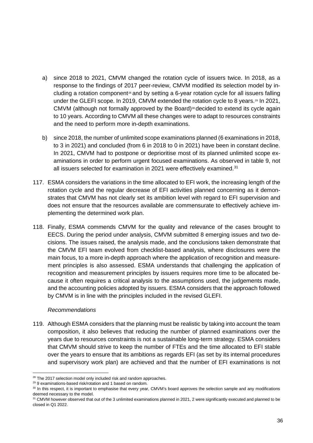- a) since 2018 to 2021, CMVM changed the rotation cycle of issuers twice. In 2018, as a response to the findings of 2017 peer-review, CMVM modified its selection model by in-cluding a rotation component<sup>[28](#page-35-0)</sup> and by setting a 6-year rotation cycle for all issuers falling under the GLEFI scope. In 2019, CMVM extended the rotation cycle to 8 years.<sup>[29](#page-35-1)</sup> In 2021, CMVM (although not formally approved by the Board)<sup>[30](#page-35-2)</sup> decided to extend its cycle again to 10 years. According to CMVM all these changes were to adapt to resources constraints and the need to perform more in-depth examinations.
- b) since 2018, the number of unlimited scope examinations planned (6 examinations in 2018, to 3 in 2021) and concluded (from 6 in 2018 to 0 in 2021) have been in constant decline. In 2021, CMVM had to postpone or deprioritise most of its planned unlimited scope examinations in order to perform urgent focused examinations. As observed in table 9, not all issuers selected for examination in 2021 were effectively examined.<sup>[31](#page-35-3)</sup>
- 117. ESMA considers the variations in the time allocated to EFI work, the increasing length of the rotation cycle and the regular decrease of EFI activities planned concerning as it demonstrates that CMVM has not clearly set its ambition level with regard to EFI supervision and does not ensure that the resources available are commensurate to effectively achieve implementing the determined work plan.
- 118. Finally, ESMA commends CMVM for the quality and relevance of the cases brought to EECS. During the period under analysis, CMVM submitted 8 emerging issues and two decisions. The issues raised, the analysis made, and the conclusions taken demonstrate that the CMVM EFI team evolved from checklist-based analysis, where disclosures were the main focus, to a more in-depth approach where the application of recognition and measurement principles is also assessed. ESMA understands that challenging the application of recognition and measurement principles by issuers requires more time to be allocated because it often requires a critical analysis to the assumptions used, the judgements made, and the accounting policies adopted by issuers. ESMA considers that the approach followed by CMVM is in line with the principles included in the revised GLEFI.

#### *Recommendations*

119. Although ESMA considers that the planning must be realistic by taking into account the team composition, it also believes that reducing the number of planned examinations over the years due to resources constraints is not a sustainable long-term strategy. ESMA considers that CMVM should strive to keep the number of FTEs and the time allocated to EFI stable over the years to ensure that its ambitions as regards EFI (as set by its internal procedures and supervisory work plan) are achieved and that the number of EFI examinations is not

<span id="page-35-0"></span><sup>&</sup>lt;sup>28</sup> The 2017 selection model only included risk and random approaches.

<span id="page-35-1"></span><sup>29</sup> 9 examinations-based risk/rotation and 1 based on random.

<span id="page-35-2"></span><sup>30</sup> In this respect, it is important to emphasise that every year, CMVM's board approves the selection sample and any modifications deemed necessary to the model.

<span id="page-35-3"></span><sup>&</sup>lt;sup>31</sup> CMVM however observed that out of the 3 unlimited examinations planned in 2021, 2 were significantly executed and planned to be closed in Q1 2022.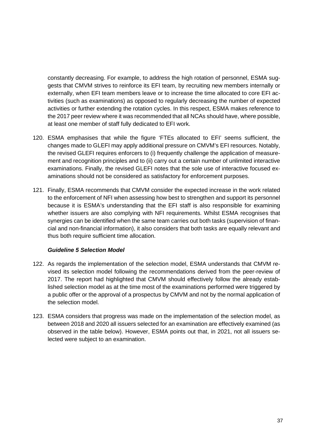constantly decreasing. For example, to address the high rotation of personnel, ESMA suggests that CMVM strives to reinforce its EFI team, by recruiting new members internally or externally, when EFI team members leave or to increase the time allocated to core EFI activities (such as examinations) as opposed to regularly decreasing the number of expected activities or further extending the rotation cycles. In this respect, ESMA makes reference to the 2017 peer review where it was recommended that all NCAs should have, where possible, at least one member of staff fully dedicated to EFI work.

- 120. ESMA emphasises that while the figure 'FTEs allocated to EFI' seems sufficient, the changes made to GLEFI may apply additional pressure on CMVM's EFI resources. Notably, the revised GLEFI requires enforcers to (i) frequently challenge the application of measurement and recognition principles and to (ii) carry out a certain number of unlimited interactive examinations. Finally, the revised GLEFI notes that the sole use of interactive focused examinations should not be considered as satisfactory for enforcement purposes.
- 121. Finally, ESMA recommends that CMVM consider the expected increase in the work related to the enforcement of NFI when assessing how best to strengthen and support its personnel because it is ESMA's understanding that the EFI staff is also responsible for examining whether issuers are also complying with NFI requirements. Whilst ESMA recognises that synergies can be identified when the same team carries out both tasks (supervision of financial and non-financial information), it also considers that both tasks are equally relevant and thus both require sufficient time allocation.

# *Guideline 5 Selection Model*

- 122. As regards the implementation of the selection model, ESMA understands that CMVM revised its selection model following the recommendations derived from the peer-review of 2017. The report had highlighted that CMVM should effectively follow the already established selection model as at the time most of the examinations performed were triggered by a public offer or the approval of a prospectus by CMVM and not by the normal application of the selection model.
- 123. ESMA considers that progress was made on the implementation of the selection model, as between 2018 and 2020 all issuers selected for an examination are effectively examined (as observed in the table below). However, ESMA points out that, in 2021, not all issuers selected were subject to an examination.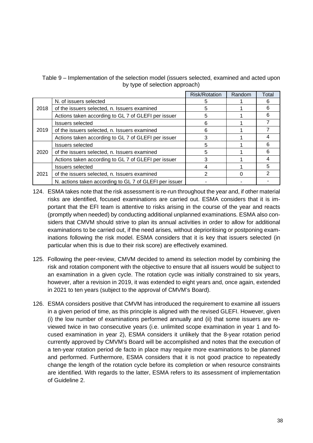Table 9 – Implementation of the selection model (issuers selected, examined and acted upon by type of selection approach)

|      |                                                        | <b>Risk/Rotation</b> | Random | Total |
|------|--------------------------------------------------------|----------------------|--------|-------|
|      | N. of issuers selected                                 | 5                    |        | 6     |
| 2018 | of the issuers selected, n. Issuers examined           | 5                    |        | 6     |
|      | Actions taken according to GL 7 of GLEFI per issuer    | 5                    |        |       |
|      | <b>Issuers selected</b>                                | 6                    |        |       |
| 2019 | of the issuers selected, n. Issuers examined           | 6                    |        |       |
|      | Actions taken according to GL 7 of GLEFI per issuer    | 3                    |        |       |
|      | <b>Issuers selected</b>                                | 5                    |        | 6     |
| 2020 | of the issuers selected, n. Issuers examined           | 5                    |        | 6     |
|      | Actions taken according to GL 7 of GLEFI per issuer    | 3                    |        |       |
|      | <b>Issuers selected</b>                                | 4                    |        | 5     |
| 2021 | of the issuers selected, n. Issuers examined           | 2                    |        |       |
|      | N. actions taken according to GL 7 of GLEFI per issuer |                      |        |       |

- 124. ESMA takes note that the risk assessment is re-run throughout the year and, if other material risks are identified, focused examinations are carried out. ESMA considers that it is important that the EFI team is attentive to risks arising in the course of the year and reacts (promptly when needed) by conducting additional unplanned examinations. ESMA also considers that CMVM should strive to plan its annual activities in order to allow for additional examinations to be carried out, if the need arises, without deprioritising or postponing examinations following the risk model. ESMA considers that it is key that issuers selected (in particular when this is due to their risk score) are effectively examined.
- 125. Following the peer-review, CMVM decided to amend its selection model by combining the risk and rotation component with the objective to ensure that all issuers would be subject to an examination in a given cycle. The rotation cycle was initially constrained to six years, however, after a revision in 2019, it was extended to eight years and, once again, extended in 2021 to ten years (subject to the approval of CMVM's Board).
- 126. ESMA considers positive that CMVM has introduced the requirement to examine all issuers in a given period of time, as this principle is aligned with the revised GLEFI. However, given (i) the low number of examinations performed annually and (ii) that some issuers are reviewed twice in two consecutive years (i.e. unlimited scope examination in year 1 and focused examination in year 2), ESMA considers it unlikely that the 8-year rotation period currently approved by CMVM's Board will be accomplished and notes that the execution of a ten-year rotation period de facto in place may require more examinations to be planned and performed. Furthermore, ESMA considers that it is not good practice to repeatedly change the length of the rotation cycle before its completion or when resource constraints are identified. With regards to the latter, ESMA refers to its assessment of implementation of Guideline 2.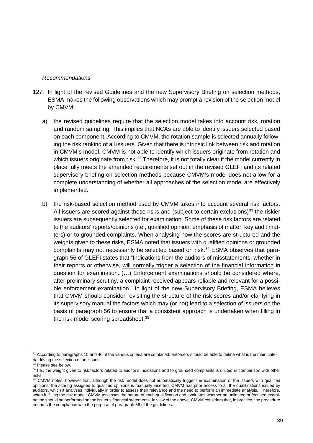#### *Recommendations*

- 127. In light of the revised Guidelines and the new Supervisory Briefing on selection methods, ESMA makes the following observations which may prompt a revision of the selection model by CMVM:
	- a) the revised guidelines require that the selection model takes into account risk, rotation and random sampling. This implies that NCAs are able to identify issuers selected based on each component. According to CMVM, the rotation sample is selected annually following the risk ranking of all issuers. Given that there is intrinsic link between risk and rotation in CMVM's model, CMVM is not able to identify which issuers originate from rotation and which issuers originate from risk.<sup>[32](#page-38-0)</sup> Therefore, it is not totally clear if the model currently in place fully meets the amended requirements set out in the revised GLEFI and its related supervisory briefing on selection methods because CMVM's model does not allow for a complete understanding of whether all approaches of the selection model are effectively implemented.
	- b) the risk-based selection method used by CMVM takes into account several risk factors. All issuers are scored against these risks and (subject to certain exclusions)<sup>[33](#page-38-1)</sup> the riskier issuers are subsequently selected for examination. Some of these risk factors are related to the auditors' reports/opinions (i.e., qualified opinion, emphasis of matter, key audit matters) or to grounded complaints. When analysing how the scores are structured and the weights given to these risks, ESMA noted that issuers with qualified opinions or grounded complaints may not necessarily be selected based on risk.<sup>[34](#page-38-2)</sup> ESMA observes that paragraph 56 of GLEFI states that "Indications from the auditors of misstatements, whether in their reports or otherwise, will normally trigger a selection of the financial information in question for examination. (…) Enforcement examinations should be considered where, after preliminary scrutiny, a complaint received appears reliable and relevant for a possible enforcement examination." In light of the new Supervisory Briefing, ESMA believes that CMVM should consider revisiting the structure of the risk scores and/or clarifying in its supervisory manual the factors which may (or not) lead to a selection of issuers on the basis of paragraph 56 to ensure that a consistent approach is undertaken when filling in the risk model scoring spreadsheet.<sup>[35](#page-38-3)</sup>

<span id="page-38-0"></span> $32$  According to paragraphs 15 and 46: if the various criteria are combined, enforcers should be able to define what is the main criteria driving the selection of an issuer.

<span id="page-38-1"></span><sup>&</sup>lt;sup>33</sup> Please see below.

<span id="page-38-2"></span><sup>34</sup> I.e., the weight given to risk factors related to auditor's indications and to grounded complaints is diluted in comparison with other risks.

<span id="page-38-3"></span><sup>&</sup>lt;sup>35</sup> CMVM notes, however that, although the risk model does not automatically trigger the examination of the issuers with qualified opinions, the scoring assigned to qualified opinions is manually inserted. CMVM has prior access to all the qualifications issued by auditors, which it analyses individually in order to assess their relevance and the need to perform an immediate analysis. Therefore, when fulfilling the risk model, CMVM assesses the nature of each qualification and evaluates whether an unlimited or focused examination should be performed on the issuer's financial statements. In view of the above, CMVM considers that, in practice, the procedure ensures the compliance with the purpose of paragraph 56 of the guidelines.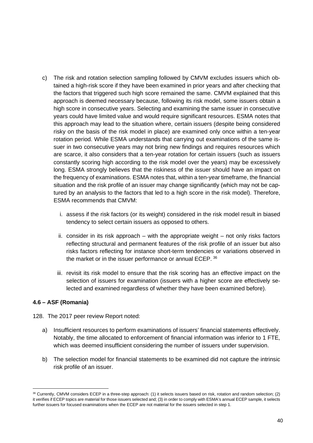- c) The risk and rotation selection sampling followed by CMVM excludes issuers which obtained a high-risk score if they have been examined in prior years and after checking that the factors that triggered such high score remained the same. CMVM explained that this approach is deemed necessary because, following its risk model, some issuers obtain a high score in consecutive years. Selecting and examining the same issuer in consecutive years could have limited value and would require significant resources. ESMA notes that this approach may lead to the situation where, certain issuers (despite being considered risky on the basis of the risk model in place) are examined only once within a ten-year rotation period. While ESMA understands that carrying out examinations of the same issuer in two consecutive years may not bring new findings and requires resources which are scarce, it also considers that a ten-year rotation for certain issuers (such as issuers constantly scoring high according to the risk model over the years) may be excessively long. ESMA strongly believes that the riskiness of the issuer should have an impact on the frequency of examinations. ESMA notes that, within a ten-year timeframe, the financial situation and the risk profile of an issuer may change significantly (which may not be captured by an analysis to the factors that led to a high score in the risk model). Therefore, ESMA recommends that CMVM:
	- i. assess if the risk factors (or its weight) considered in the risk model result in biased tendency to select certain issuers as opposed to others.
	- ii. consider in its risk approach  $-$  with the appropriate weight  $-$  not only risks factors reflecting structural and permanent features of the risk profile of an issuer but also risks factors reflecting for instance short-term tendencies or variations observed in the market or in the issuer performance or annual ECEP. [36](#page-39-1)
	- iii. revisit its risk model to ensure that the risk scoring has an effective impact on the selection of issuers for examination (issuers with a higher score are effectively selected and examined regardless of whether they have been examined before).

# <span id="page-39-0"></span>**4.6 – ASF (Romania)**

- 128. The 2017 peer review Report noted:
	- a) Insufficient resources to perform examinations of issuers' financial statements effectively. Notably, the time allocated to enforcement of financial information was inferior to 1 FTE, which was deemed insufficient considering the number of issuers under supervision.
	- b) The selection model for financial statements to be examined did not capture the intrinsic risk profile of an issuer.

<span id="page-39-1"></span><sup>36</sup> Currently, CMVM considers ECEP in a three-step approach: (1) it selects issuers based on risk, rotation and random selection; (2) it verifies if ECEP topics are material for those issuers selected and; (3) in order to comply with ESMA's annual ECEP sample, it selects further issuers for focused examinations when the ECEP are not material for the issuers selected in step 1.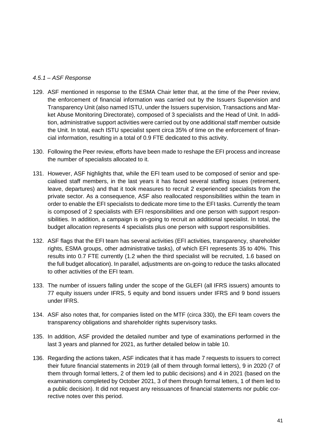#### <span id="page-40-0"></span>*4.5.1 – ASF Response*

- 129. ASF mentioned in response to the ESMA Chair letter that, at the time of the Peer review, the enforcement of financial information was carried out by the Issuers Supervision and Transparency Unit (also named ISTU, under the Issuers supervision, Transactions and Market Abuse Monitoring Directorate), composed of 3 specialists and the Head of Unit. In addition, administrative support activities were carried out by one additional staff member outside the Unit. In total, each ISTU specialist spent circa 35% of time on the enforcement of financial information, resulting in a total of 0.9 FTE dedicated to this activity.
- 130. Following the Peer review, efforts have been made to reshape the EFI process and increase the number of specialists allocated to it.
- 131. However, ASF highlights that, while the EFI team used to be composed of senior and specialised staff members, in the last years it has faced several staffing issues (retirement, leave, departures) and that it took measures to recruit 2 experienced specialists from the private sector. As a consequence, ASF also reallocated responsibilities within the team in order to enable the EFI specialists to dedicate more time to the EFI tasks. Currently the team is composed of 2 specialists with EFI responsibilities and one person with support responsibilities. In addition, a campaign is on-going to recruit an additional specialist. In total, the budget allocation represents 4 specialists plus one person with support responsibilities.
- 132. ASF flags that the EFI team has several activities (EFI activities, transparency, shareholder rights, ESMA groups, other administrative tasks), of which EFI represents 35 to 40%. This results into 0.7 FTE currently (1.2 when the third specialist will be recruited, 1.6 based on the full budget allocation). In parallel, adjustments are on-going to reduce the tasks allocated to other activities of the EFI team.
- 133. The number of issuers falling under the scope of the GLEFI (all IFRS issuers) amounts to 77 equity issuers under IFRS, 5 equity and bond issuers under IFRS and 9 bond issuers under IFRS.
- 134. ASF also notes that, for companies listed on the MTF (circa 330), the EFI team covers the transparency obligations and shareholder rights supervisory tasks.
- 135. In addition, ASF provided the detailed number and type of examinations performed in the last 3 years and planned for 2021, as further detailed below in table 10.
- 136. Regarding the actions taken, ASF indicates that it has made 7 requests to issuers to correct their future financial statements in 2019 (all of them through formal letters), 9 in 2020 (7 of them through formal letters, 2 of them led to public decisions) and 4 in 2021 (based on the examinations completed by October 2021, 3 of them through formal letters, 1 of them led to a public decision). It did not request any reissuances of financial statements nor public corrective notes over this period.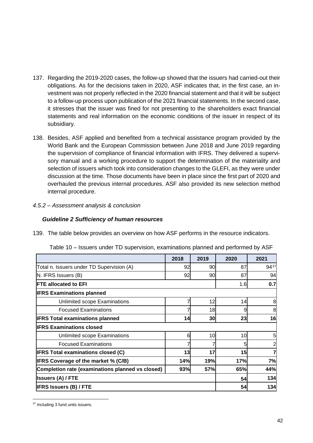- 137. Regarding the 2019-2020 cases, the follow-up showed that the issuers had carried-out their obligations. As for the decisions taken in 2020, ASF indicates that, in the first case, an investment was not properly reflected in the 2020 financial statement and that it will be subject to a follow-up process upon publication of the 2021 financial statements. In the second case, it stresses that the issuer was fined for not presenting to the shareholders exact financial statements and real information on the economic conditions of the issuer in respect of its subsidiary.
- 138. Besides, ASF applied and benefited from a technical assistance program provided by the World Bank and the European Commission between June 2018 and June 2019 regarding the supervision of compliance of financial information with IFRS. They delivered a supervisory manual and a working procedure to support the determination of the materiality and selection of issuers which took into consideration changes to the GLEFI, as they were under discussion at the time. Those documents have been in place since the first part of 2020 and overhauled the previous internal procedures. ASF also provided its new selection method internal procedure.

# <span id="page-41-0"></span>*4.5.2 – Assessment analysis & conclusion*

# *Guideline 2 Sufficiency of human resources*

139. The table below provides an overview on how ASF performs in the resource indicators.

|                                                  | 2018 | 2019 | 2020 | 2021           |
|--------------------------------------------------|------|------|------|----------------|
| Total n. Issuers under TD Supervision (A)        | 92   | 90   | 87   | 9437           |
| N. IFRS Issuers (B)                              | 92   | 90   | 87   | 94             |
| <b>FTE allocated to EFI</b>                      |      |      | 1.6  | 0.7            |
| <b>IFRS Examinations planned</b>                 |      |      |      |                |
| Unlimited scope Examinations                     |      | 12   | 14   | 8              |
| <b>Focused Examinations</b>                      |      | 18   | 9    | 8              |
| <b>IFRS Total examinations planned</b>           | 14   | 30   | 23   | 16             |
| <b>IIFRS Examinations closed</b>                 |      |      |      |                |
| Unlimited scope Examinations                     | 6    | 10   | 10   | 5              |
| <b>Focused Examinations</b>                      |      |      | 5    | $\overline{a}$ |
| <b>IFRS Total examinations closed (C)</b>        | 13   | 17   | 15   | 7              |
| <b>IFRS Coverage of the market % (C/B)</b>       | 14%  | 19%  | 17%  | 7%             |
| Completion rate (examinations planned vs closed) | 93%  | 57%  | 65%  | 44%            |
| <b>Issuers (A) / FTE</b>                         |      |      |      | 134            |
| <b>IFRS Issuers (B) / FTE</b>                    |      |      | 54   | 134            |

Table 10 – Issuers under TD supervision, examinations planned and performed by ASF

<span id="page-41-1"></span><sup>&</sup>lt;sup>37</sup> Including 3 fund units issuers.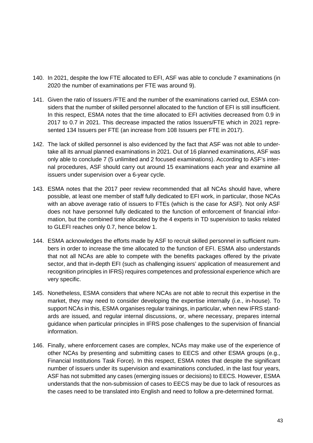- 140. In 2021, despite the low FTE allocated to EFI, ASF was able to conclude 7 examinations (in 2020 the number of examinations per FTE was around 9).
- 141. Given the ratio of Issuers /FTE and the number of the examinations carried out, ESMA considers that the number of skilled personnel allocated to the function of EFI is still insufficient. In this respect, ESMA notes that the time allocated to EFI activities decreased from 0.9 in 2017 to 0.7 in 2021. This decrease impacted the ratios Issuers/FTE which in 2021 represented 134 Issuers per FTE (an increase from 108 Issuers per FTE in 2017).
- 142. The lack of skilled personnel is also evidenced by the fact that ASF was not able to undertake all its annual planned examinations in 2021. Out of 16 planned examinations, ASF was only able to conclude 7 (5 unlimited and 2 focused examinations). According to ASF's internal procedures, ASF should carry out around 15 examinations each year and examine all issuers under supervision over a 6-year cycle.
- 143. ESMA notes that the 2017 peer review recommended that all NCAs should have, where possible, at least one member of staff fully dedicated to EFI work, in particular, those NCAs with an above average ratio of issuers to FTEs (which is the case for ASF). Not only ASF does not have personnel fully dedicated to the function of enforcement of financial information, but the combined time allocated by the 4 experts in TD supervision to tasks related to GLEFI reaches only 0.7, hence below 1.
- 144. ESMA acknowledges the efforts made by ASF to recruit skilled personnel in sufficient numbers in order to increase the time allocated to the function of EFI. ESMA also understands that not all NCAs are able to compete with the benefits packages offered by the private sector, and that in-depth EFI (such as challenging issuers' application of measurement and recognition principles in IFRS) requires competences and professional experience which are very specific.
- 145. Nonetheless, ESMA considers that where NCAs are not able to recruit this expertise in the market, they may need to consider developing the expertise internally (i.e., in-house). To support NCAs in this, ESMA organises regular trainings, in particular, when new IFRS standards are issued, and regular internal discussions, or, where necessary, prepares internal guidance when particular principles in IFRS pose challenges to the supervision of financial information.
- 146. Finally, where enforcement cases are complex, NCAs may make use of the experience of other NCAs by presenting and submitting cases to EECS and other ESMA groups (e.g., Financial Institutions Task Force). In this respect, ESMA notes that despite the significant number of issuers under its supervision and examinations concluded, in the last four years, ASF has not submitted any cases (emerging issues or decisions) to EECS. However, ESMA understands that the non-submission of cases to EECS may be due to lack of resources as the cases need to be translated into English and need to follow a pre-determined format.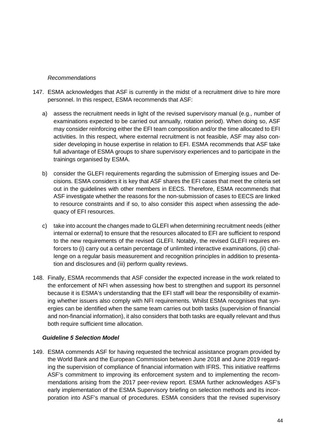#### *Recommendations*

- 147. ESMA acknowledges that ASF is currently in the midst of a recruitment drive to hire more personnel. In this respect, ESMA recommends that ASF:
	- a) assess the recruitment needs in light of the revised supervisory manual (e.g., number of examinations expected to be carried out annually, rotation period). When doing so, ASF may consider reinforcing either the EFI team composition and/or the time allocated to EFI activities. In this respect, where external recruitment is not feasible, ASF may also consider developing in house expertise in relation to EFI. ESMA recommends that ASF take full advantage of ESMA groups to share supervisory experiences and to participate in the trainings organised by ESMA.
	- b) consider the GLEFI requirements regarding the submission of Emerging issues and Decisions*.* ESMA considers it is key that ASF shares the EFI cases that meet the criteria set out in the guidelines with other members in EECS. Therefore, ESMA recommends that ASF investigate whether the reasons for the non-submission of cases to EECS are linked to resource constraints and if so, to also consider this aspect when assessing the adequacy of EFI resources.
	- c) take into account the changes made to GLEFI when determining recruitment needs (either internal or external) to ensure that the resources allocated to EFI are sufficient to respond to the new requirements of the revised GLEFI. Notably, the revised GLEFI requires enforcers to (i) carry out a certain percentage of unlimited interactive examinations, (ii) challenge on a regular basis measurement and recognition principles in addition to presentation and disclosures and (iii) perform quality reviews.
- 148. Finally, ESMA recommends that ASF consider the expected increase in the work related to the enforcement of NFI when assessing how best to strengthen and support its personnel because it is ESMA's understanding that the EFI staff will bear the responsibility of examining whether issuers also comply with NFI requirements. Whilst ESMA recognises that synergies can be identified when the same team carries out both tasks (supervision of financial and non-financial information), it also considers that both tasks are equally relevant and thus both require sufficient time allocation.

# *Guideline 5 Selection Model*

149. ESMA commends ASF for having requested the technical assistance program provided by the World Bank and the European Commission between June 2018 and June 2019 regarding the supervision of compliance of financial information with IFRS. This initiative reaffirms ASF's commitment to improving its enforcement system and to implementing the recommendations arising from the 2017 peer-review report. ESMA further acknowledges ASF's early implementation of the ESMA Supervisory briefing on selection methods and its incorporation into ASF's manual of procedures. ESMA considers that the revised supervisory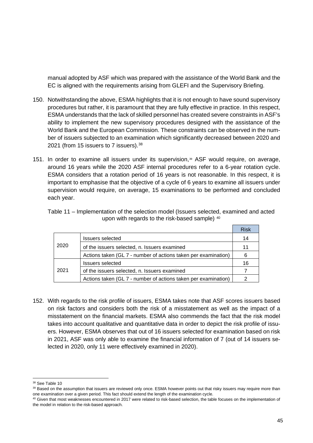manual adopted by ASF which was prepared with the assistance of the World Bank and the EC is aligned with the requirements arising from GLEFI and the Supervisory Briefing.

- 150. Notwithstanding the above, ESMA highlights that it is not enough to have sound supervisory procedures but rather, it is paramount that they are fully effective in practice. In this respect, ESMA understands that the lack of skilled personnel has created severe constraints in ASF's ability to implement the new supervisory procedures designed with the assistance of the World Bank and the European Commission. These constraints can be observed in the number of issuers subjected to an examination which significantly decreased between 2020 and 2021 (from 15 issuers to 7 issuers). [38](#page-44-0)
- 151. In order to examine all issuers under its supervision,<sup>[39](#page-44-1)</sup> ASF would require, on average, around 16 years while the 2020 ASF internal procedures refer to a 6-year rotation cycle. ESMA considers that a rotation period of 16 years is not reasonable. In this respect, it is important to emphasise that the objective of a cycle of 6 years to examine all issuers under supervision would require, on average, 15 examinations to be performed and concluded each year.

| Table 11 – Implementation of the selection model (Issuers selected, examined and acted |  |
|----------------------------------------------------------------------------------------|--|
| upon with regards to the risk-based sample) 40                                         |  |

|      |                                                                | <b>Risk</b> |
|------|----------------------------------------------------------------|-------------|
|      | <b>Issuers selected</b>                                        | 14          |
| 2020 | of the issuers selected, n. Issuers examined                   | 11          |
|      | Actions taken (GL 7 - number of actions taken per examination) | 6           |
|      | <b>Issuers selected</b>                                        | 16          |
| 2021 | of the issuers selected, n. Issuers examined                   |             |
|      | Actions taken (GL 7 - number of actions taken per examination) |             |

152. With regards to the risk profile of issuers, ESMA takes note that ASF scores issuers based on risk factors and considers both the risk of a misstatement as well as the impact of a misstatement on the financial markets. ESMA also commends the fact that the risk model takes into account qualitative and quantitative data in order to depict the risk profile of issuers. However, ESMA observes that out of 16 issuers selected for examination based on risk in 2021, ASF was only able to examine the financial information of 7 (out of 14 issuers selected in 2020, only 11 were effectively examined in 2020).

<span id="page-44-0"></span><sup>&</sup>lt;sup>38</sup> See Table 10

<span id="page-44-1"></span><sup>39</sup> Based on the assumption that issuers are reviewed only once. ESMA however points out that risky issuers may require more than one examination over a given period. This fact should extend the length of the examination cycle.

<span id="page-44-2"></span><sup>&</sup>lt;sup>40</sup> Given that most weaknesses encountered in 2017 were related to risk-based selection, the table focuses on the implementation of the model in relation to the risk-based approach.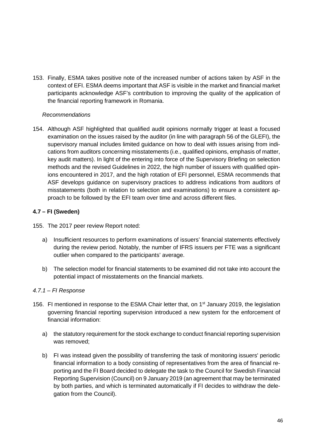153. Finally, ESMA takes positive note of the increased number of actions taken by ASF in the context of EFI. ESMA deems important that ASF is visible in the market and financial market participants acknowledge ASF's contribution to improving the quality of the application of the financial reporting framework in Romania.

#### *Recommendations*

154. Although ASF highlighted that qualified audit opinions normally trigger at least a focused examination on the issues raised by the auditor (in line with paragraph 56 of the GLEFI), the supervisory manual includes limited guidance on how to deal with issues arising from indications from auditors concerning misstatements (i.e., qualified opinions, emphasis of matter, key audit matters). In light of the entering into force of the Supervisory Briefing on selection methods and the revised Guidelines in 2022, the high number of issuers with qualified opinions encountered in 2017, and the high rotation of EFI personnel, ESMA recommends that ASF develops guidance on supervisory practices to address indications from auditors of misstatements (both in relation to selection and examinations) to ensure a consistent approach to be followed by the EFI team over time and across different files.

# <span id="page-45-0"></span>**4.7 – FI (Sweden)**

155. The 2017 peer review Report noted:

- a) Insufficient resources to perform examinations of issuers' financial statements effectively during the review period. Notably, the number of IFRS issuers per FTE was a significant outlier when compared to the participants' average.
- b) The selection model for financial statements to be examined did not take into account the potential impact of misstatements on the financial markets.

# <span id="page-45-1"></span>*4.7.1 – FI Response*

- 156. FI mentioned in response to the ESMA Chair letter that, on 1<sup>st</sup> January 2019, the legislation governing financial reporting supervision introduced a new system for the enforcement of financial information:
	- a) the statutory requirement for the stock exchange to conduct financial reporting supervision was removed;
	- b) FI was instead given the possibility of transferring the task of monitoring issuers' periodic financial information to a body consisting of representatives from the area of financial reporting and the FI Board decided to delegate the task to the Council for Swedish Financial Reporting Supervision (Council) on 9 January 2019 (an agreement that may be terminated by both parties, and which is terminated automatically if FI decides to withdraw the delegation from the Council).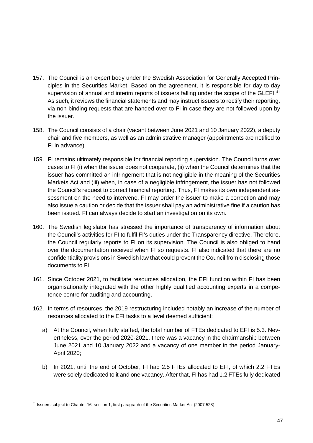- 157. The Council is an expert body under the Swedish Association for Generally Accepted Principles in the Securities Market. Based on the agreement, it is responsible for day-to-day supervision of annual and interim reports of issuers falling under the scope of the GLEFI.<sup>[41](#page-46-0)</sup> As such, it reviews the financial statements and may instruct issuers to rectify their reporting, via non-binding requests that are handed over to FI in case they are not followed-upon by the issuer.
- 158. The Council consists of a chair (vacant between June 2021 and 10 January 2022), a deputy chair and five members, as well as an administrative manager (appointments are notified to FI in advance).
- <span id="page-46-1"></span>159. FI remains ultimately responsible for financial reporting supervision. The Council turns over cases to FI (i) when the issuer does not cooperate, (ii) when the Council determines that the issuer has committed an infringement that is not negligible in the meaning of the Securities Markets Act and (iii) when, in case of a negligible infringement, the issuer has not followed the Council's request to correct financial reporting. Thus, FI makes its own independent assessment on the need to intervene. FI may order the issuer to make a correction and may also issue a caution or decide that the issuer shall pay an administrative fine if a caution has been issued. FI can always decide to start an investigation on its own.
- 160. The Swedish legislator has stressed the importance of transparency of information about the Council's activities for FI to fulfil FI's duties under the Transparency directive. Therefore, the Council regularly reports to FI on its supervision. The Council is also obliged to hand over the documentation received when FI so requests. FI also indicated that there are no confidentiality provisions in Swedish law that could prevent the Council from disclosing those documents to FI.
- 161. Since October 2021, to facilitate resources allocation, the EFI function within FI has been organisationally integrated with the other highly qualified accounting experts in a competence centre for auditing and accounting.
- 162. In terms of resources, the 2019 restructuring included notably an increase of the number of resources allocated to the EFI tasks to a level deemed sufficient:
	- a) At the Council, when fully staffed, the total number of FTEs dedicated to EFI is 5.3. Nevertheless, over the period 2020-2021, there was a vacancy in the chairmanship between June 2021 and 10 January 2022 and a vacancy of one member in the period January-April 2020;
	- b) In 2021, until the end of October, FI had 2.5 FTEs allocated to EFI, of which 2.2 FTEs were solely dedicated to it and one vacancy. After that, FI has had 1.2 FTEs fully dedicated

<span id="page-46-0"></span><sup>41</sup> Issuers subject to Chapter 16, section 1, first paragraph of the Securities Market Act (2007:528).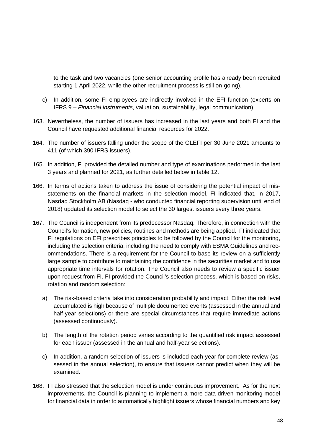to the task and two vacancies (one senior accounting profile has already been recruited starting 1 April 2022, while the other recruitment process is still on-going).

- c) In addition, some FI employees are indirectly involved in the EFI function (experts on IFRS 9 – *Financial instruments*, valuation, sustainability, legal communication).
- 163. Nevertheless, the number of issuers has increased in the last years and both FI and the Council have requested additional financial resources for 2022.
- 164. The number of issuers falling under the scope of the GLEFI per 30 June 2021 amounts to 411 (of which 390 IFRS issuers).
- 165. In addition, FI provided the detailed number and type of examinations performed in the last 3 years and planned for 2021, as further detailed below in table 12.
- 166. In terms of actions taken to address the issue of considering the potential impact of misstatements on the financial markets in the selection model, FI indicated that, in 2017, Nasdaq Stockholm AB (Nasdaq - who conducted financial reporting supervision until end of 2018) updated its selection model to select the 30 largest issuers every three years.
- 167. The Council is independent from its predecessor Nasdaq. Therefore, in connection with the Council's formation, new policies, routines and methods are being applied. FI indicated that FI regulations on EFI prescribes principles to be followed by the Council for the monitoring, including the selection criteria, including the need to comply with ESMA Guidelines and recommendations. There is a requirement for the Council to base its review on a sufficiently large sample to contribute to maintaining the confidence in the securities market and to use appropriate time intervals for rotation. The Council also needs to review a specific issuer upon request from FI. FI provided the Council's selection process, which is based on risks, rotation and random selection:
	- a) The risk-based criteria take into consideration probability and impact. Either the risk level accumulated is high because of multiple documented events (assessed in the annual and half-year selections) or there are special circumstances that require immediate actions (assessed continuously).
	- b) The length of the rotation period varies according to the quantified risk impact assessed for each issuer (assessed in the annual and half-year selections).
	- c) In addition, a random selection of issuers is included each year for complete review (assessed in the annual selection), to ensure that issuers cannot predict when they will be examined.
- 168. FI also stressed that the selection model is under continuous improvement. As for the next improvements, the Council is planning to implement a more data driven monitoring model for financial data in order to automatically highlight issuers whose financial numbers and key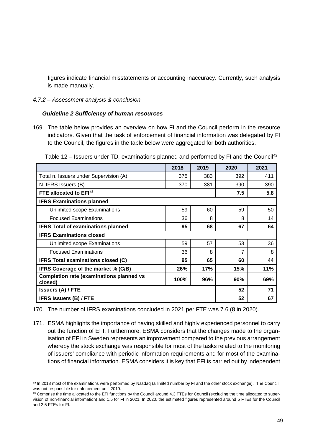figures indicate financial misstatements or accounting inaccuracy. Currently, such analysis is made manually.

#### <span id="page-48-0"></span>*4.7.2 – Assessment analysis & conclusion*

#### *Guideline 2 Sufficiency of human resources*

169. The table below provides an overview on how FI and the Council perform in the resource indicators. Given that the task of enforcement of financial information was delegated by FI to the Council, the figures in the table below were aggregated for both authorities.

|                                                            | 2018 | 2019 | 2020 | 2021 |
|------------------------------------------------------------|------|------|------|------|
| Total n. Issuers under Supervision (A)                     | 375  | 383  | 392  | 411  |
| N. IFRS Issuers (B)                                        | 370  | 381  | 390  | 390  |
| FTE allocated to EFI <sup>43</sup>                         |      |      | 7.5  | 5.8  |
| <b>IFRS Examinations planned</b>                           |      |      |      |      |
| Unlimited scope Examinations                               | 59   | 60   | 59   | 50   |
| <b>Focused Examinations</b>                                | 36   | 8    | 8    | 14   |
| <b>IFRS Total of examinations planned</b>                  | 95   | 68   | 67   | 64   |
| <b>IFRS Examinations closed</b>                            |      |      |      |      |
| Unlimited scope Examinations                               | 59   | 57   | 53   | 36   |
| <b>Focused Examinations</b>                                | 36   | 8    | 7    | 8    |
| <b>IFRS Total examinations closed (C)</b>                  | 95   | 65   | 60   | 44   |
| IFRS Coverage of the market % (C/B)                        | 26%  | 17%  | 15%  | 11%  |
| <b>Completion rate (examinations planned vs</b><br>closed) | 100% | 96%  | 90%  | 69%  |
| <b>Issuers (A) / FTE</b>                                   | 52   | 71   |      |      |
| <b>IFRS Issuers (B) / FTE</b>                              |      |      |      | 67   |

Table 12 – Issuers under TD, examinations planned and performed by FI and the Council<sup>[42](#page-48-1)</sup>

170. The number of IFRS examinations concluded in 2021 per FTE was 7.6 (8 in 2020).

171. ESMA highlights the importance of having skilled and highly experienced personnel to carry out the function of EFI. Furthermore, ESMA considers that the changes made to the organisation of EFI in Sweden represents an improvement compared to the previous arrangement whereby the stock exchange was responsible for most of the tasks related to the monitoring of issuers' compliance with periodic information requirements and for most of the examinations of financial information. ESMA considers it is key that EFI is carried out by independent

<span id="page-48-1"></span><sup>42</sup> In 2018 most of the examinations were performed by Nasdaq (a limited number by FI and the other stock exchange). The Council was not responsible for enforcement until 2019.

<span id="page-48-2"></span><sup>&</sup>lt;sup>43</sup> Comprise the time allocated to the EFI functions by the Council around 4.3 FTEs for Council (excluding the time allocated to supervision of non-financial information) and 1.5 for FI in 2021. In 2020, the estimated figures represented around 5 FTEs for the Council and 2.5 FTEs for FI.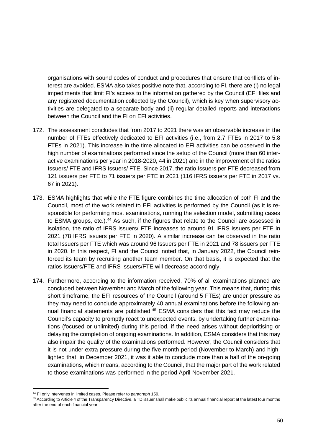organisations with sound codes of conduct and procedures that ensure that conflicts of interest are avoided. ESMA also takes positive note that, according to FI, there are (i) no legal impediments that limit FI's access to the information gathered by the Council (EFI files and any registered documentation collected by the Council), which is key when supervisory activities are delegated to a separate body and (ii) regular detailed reports and interactions between the Council and the FI on EFI activities.

- 172. The assessment concludes that from 2017 to 2021 there was an observable increase in the number of FTEs effectively dedicated to EFI activities (i.e., from 2.7 FTEs in 2017 to 5.8 FTEs in 2021). This increase in the time allocated to EFI activities can be observed in the high number of examinations performed since the setup of the Council (more than 60 interactive examinations per year in 2018-2020, 44 in 2021) and in the improvement of the ratios Issuers/ FTE and IFRS Issuers/ FTE. Since 2017, the ratio Issuers per FTE decreased from 121 issuers per FTE to 71 issuers per FTE in 2021 (116 IFRS issuers per FTE in 2017 vs. 67 in 2021).
- 173. ESMA highlights that while the FTE figure combines the time allocation of both FI and the Council, most of the work related to EFI activities is performed by the Council (as it is responsible for performing most examinations, running the selection model, submitting cases to ESMA groups, etc.).<sup>[44](#page-49-0)</sup> As such, if the figures that relate to the Council are assessed in isolation, the ratio of IFRS issuers/ FTE increases to around 91 IFRS issuers per FTE in 2021 (78 IFRS issuers per FTE in 2020). A similar increase can be observed in the ratio total Issuers per FTE which was around 96 Issuers per FTE in 2021 and 78 issuers per FTE in 2020. In this respect, FI and the Council noted that, in January 2022, the Council reinforced its team by recruiting another team member. On that basis, it is expected that the ratios Issuers/FTE and IFRS Issuers/FTE will decrease accordingly.
- 174. Furthermore, according to the information received, 70% of all examinations planned are concluded between November and March of the following year. This means that, during this short timeframe, the EFI resources of the Council (around 5 FTEs) are under pressure as they may need to conclude approximately 40 annual examinations before the following annual financial statements are published.<sup>45</sup> ESMA considers that this fact may reduce the Council's capacity to promptly react to unexpected events, by undertaking further examinations (focused or unlimited) during this period, if the need arises without deprioritising or delaying the completion of ongoing examinations. In addition, ESMA considers that this may also impair the quality of the examinations performed. However, the Council considers that it is not under extra pressure during the five-month period (November to March) and highlighted that, in December 2021, it was it able to conclude more than a half of the on-going examinations, which means, according to the Council, that the major part of the work related to those examinations was performed in the period April-November 2021.

<span id="page-49-0"></span><sup>&</sup>lt;sup>44</sup> FI only intervenes in limited cases. Please refer to paragrap[h 159.](#page-46-1)

<span id="page-49-1"></span><sup>45</sup> According to Article 4 of the Transparency Directive, a TD issuer shall make public its annual financial report at the latest four months after the end of each financial year.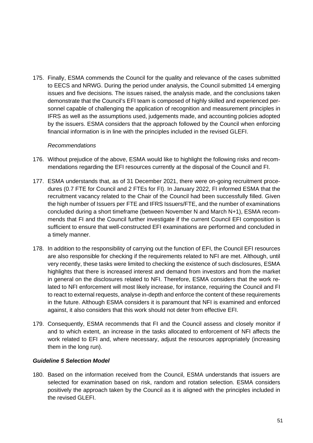175. Finally, ESMA commends the Council for the quality and relevance of the cases submitted to EECS and NRWG. During the period under analysis, the Council submitted 14 emerging issues and five decisions. The issues raised, the analysis made, and the conclusions taken demonstrate that the Council's EFI team is composed of highly skilled and experienced personnel capable of challenging the application of recognition and measurement principles in IFRS as well as the assumptions used, judgements made, and accounting policies adopted by the issuers. ESMA considers that the approach followed by the Council when enforcing financial information is in line with the principles included in the revised GLEFI.

#### *Recommendations*

- 176. Without prejudice of the above, ESMA would like to highlight the following risks and recommendations regarding the EFI resources currently at the disposal of the Council and FI.
- 177. ESMA understands that, as of 31 December 2021, there were on-going recruitment procedures (0.7 FTE for Council and 2 FTEs for FI). In January 2022, FI informed ESMA that the recruitment vacancy related to the Chair of the Council had been successfully filled. Given the high number of Issuers per FTE and IFRS Issuers/FTE, and the number of examinations concluded during a short timeframe (between November N and March N+1), ESMA recommends that FI and the Council further investigate if the current Council EFI composition is sufficient to ensure that well-constructed EFI examinations are performed and concluded in a timely manner.
- 178. In addition to the responsibility of carrying out the function of EFI, the Council EFI resources are also responsible for checking if the requirements related to NFI are met. Although, until very recently, these tasks were limited to checking the existence of such disclosures, ESMA highlights that there is increased interest and demand from investors and from the market in general on the disclosures related to NFI. Therefore, ESMA considers that the work related to NFI enforcement will most likely increase, for instance, requiring the Council and FI to react to external requests, analyse in-depth and enforce the content of these requirements in the future. Although ESMA considers it is paramount that NFI is examined and enforced against, it also considers that this work should not deter from effective EFI.
- 179. Consequently, ESMA recommends that FI and the Council assess and closely monitor if and to which extent, an increase in the tasks allocated to enforcement of NFI affects the work related to EFI and, where necessary, adjust the resources appropriately (increasing them in the long run).

# *Guideline 5 Selection Model*

180. Based on the information received from the Council, ESMA understands that issuers are selected for examination based on risk, random and rotation selection. ESMA considers positively the approach taken by the Council as it is aligned with the principles included in the revised GLEFL.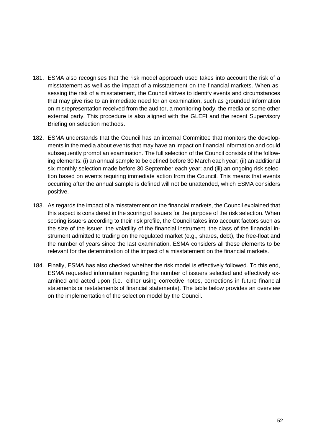- 181. ESMA also recognises that the risk model approach used takes into account the risk of a misstatement as well as the impact of a misstatement on the financial markets. When assessing the risk of a misstatement, the Council strives to identify events and circumstances that may give rise to an immediate need for an examination, such as grounded information on misrepresentation received from the auditor, a monitoring body, the media or some other external party. This procedure is also aligned with the GLEFI and the recent Supervisory Briefing on selection methods.
- 182. ESMA understands that the Council has an internal Committee that monitors the developments in the media about events that may have an impact on financial information and could subsequently prompt an examination. The full selection of the Council consists of the following elements: (i) an annual sample to be defined before 30 March each year; (ii) an additional six-monthly selection made before 30 September each year; and (iii) an ongoing risk selection based on events requiring immediate action from the Council. This means that events occurring after the annual sample is defined will not be unattended, which ESMA considers positive.
- 183. As regards the impact of a misstatement on the financial markets, the Council explained that this aspect is considered in the scoring of issuers for the purpose of the risk selection. When scoring issuers according to their risk profile, the Council takes into account factors such as the size of the issuer, the volatility of the financial instrument, the class of the financial instrument admitted to trading on the regulated market (e.g., shares, debt), the free-float and the number of years since the last examination. ESMA considers all these elements to be relevant for the determination of the impact of a misstatement on the financial markets.
- 184. Finally, ESMA has also checked whether the risk model is effectively followed. To this end, ESMA requested information regarding the number of issuers selected and effectively examined and acted upon (i.e., either using corrective notes, corrections in future financial statements or restatements of financial statements). The table below provides an overview on the implementation of the selection model by the Council.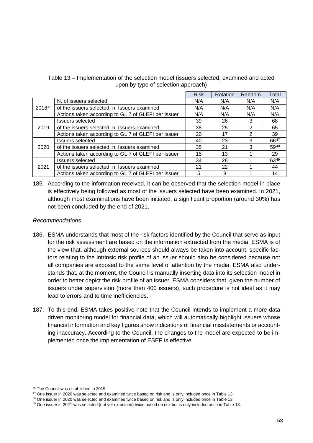|        |                                                     | <b>Risk</b> | Rotation | Random | Total |
|--------|-----------------------------------------------------|-------------|----------|--------|-------|
|        | N. of issuers selected                              | N/A         | N/A      | N/A    | N/A   |
| 201846 | of the issuers selected, n. Issuers examined        | N/A         | N/A      | N/A    | N/A   |
|        | Actions taken according to GL 7 of GLEFI per issuer | N/A         | N/A      | N/A    | N/A   |
|        | <b>Issuers selected</b>                             | 39          | 26       | 3      | 68    |
| 2019   | of the issuers selected, n. Issuers examined        | 38          | 25       | 2      | 65    |
|        | Actions taken according to GL 7 of GLEFI per issuer | 20          | 17       | 2      | 39    |
|        | <b>Issuers selected</b>                             | 40          | 23       | 3      | 6647  |
| 2020   | of the issuers selected, n. Issuers examined        | 35          | 21       | 3      | 5948  |
|        | Actions taken according to GL 7 of GLEFI per issuer | 15          | 13       |        | 29    |
| 2021   | <b>Issuers selected</b>                             | 34          | 28       |        | 6349  |
|        | of the issuers selected, n. Issuers examined        | 21          | 22       |        | 44    |
|        | Actions taken according to GL 7 of GLEFI per issuer | 5           | 8        |        | 14    |

Table 13 – Implementation of the selection model (issuers selected, examined and acted upon by type of selection approach)

185. According to the information received, it can be observed that the selection model in place is effectively being followed as most of the issuers selected have been examined. In 2021, although most examinations have been initiated, a significant proportion (around 30%) has not been concluded by the end of 2021.

#### *Recommendations*

- 186. ESMA understands that most of the risk factors identified by the Council that serve as input for the risk assessment are based on the information extracted from the media. ESMA is of the view that, although external sources should always be taken into account, specific factors relating to the intrinsic risk profile of an issuer should also be considered because not all companies are exposed to the same level of attention by the media. ESMA also understands that, at the moment, the Council is manually inserting data into its selection model in order to better depict the risk profile of an issuer. ESMA considers that, given the number of issuers under supervision (more than 400 issuers), such procedure is not ideal as it may lead to errors and to time inefficiencies.
- 187. To this end, ESMA takes positive note that the Council intends to implement a more data driven monitoring model for financial data, which will automatically highlight issuers whose financial information and key figures show indications of financial misstatements or accounting inaccuracy. According to the Council, the changes to the model are expected to be implemented once the implementation of ESEF is effective.

<span id="page-52-0"></span><sup>&</sup>lt;sup>46</sup> The Council was established in 2019.<br><sup>47</sup> One issuer in 2020 was selected and examined twice based on risk and is only included once in Table 13.

<span id="page-52-2"></span><span id="page-52-1"></span><sup>&</sup>lt;sup>48</sup> One issuer in 2020 was selected and examined twice based on risk and is only included once in Table 13.

<span id="page-52-3"></span><sup>&</sup>lt;sup>49</sup> One issuer in 2021 was selected (not yet examined) twice based on risk but is only included once in Table 13.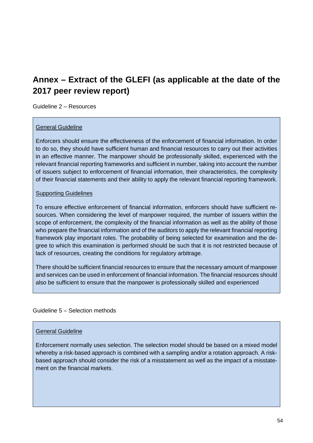# <span id="page-53-0"></span>**Annex – Extract of the GLEFI (as applicable at the date of the 2017 peer review report)**

Guideline 2 – Resources

# General Guideline

Enforcers should ensure the effectiveness of the enforcement of financial information. In order to do so, they should have sufficient human and financial resources to carry out their activities in an effective manner. The manpower should be professionally skilled, experienced with the relevant financial reporting frameworks and sufficient in number, taking into account the number of issuers subject to enforcement of financial information, their characteristics, the complexity of their financial statements and their ability to apply the relevant financial reporting framework.

#### Supporting Guidelines

To ensure effective enforcement of financial information, enforcers should have sufficient resources. When considering the level of manpower required, the number of issuers within the scope of enforcement, the complexity of the financial information as well as the ability of those who prepare the financial information and of the auditors to apply the relevant financial reporting framework play important roles. The probability of being selected for examination and the degree to which this examination is performed should be such that it is not restricted because of lack of resources, creating the conditions for regulatory arbitrage.

There should be sufficient financial resources to ensure that the necessary amount of manpower and services can be used in enforcement of financial information. The financial resources should also be sufficient to ensure that the manpower is professionally skilled and experienced

#### Guideline 5 – Selection methods

#### General Guideline

Enforcement normally uses selection. The selection model should be based on a mixed model whereby a risk-based approach is combined with a sampling and/or a rotation approach. A riskbased approach should consider the risk of a misstatement as well as the impact of a misstatement on the financial markets.